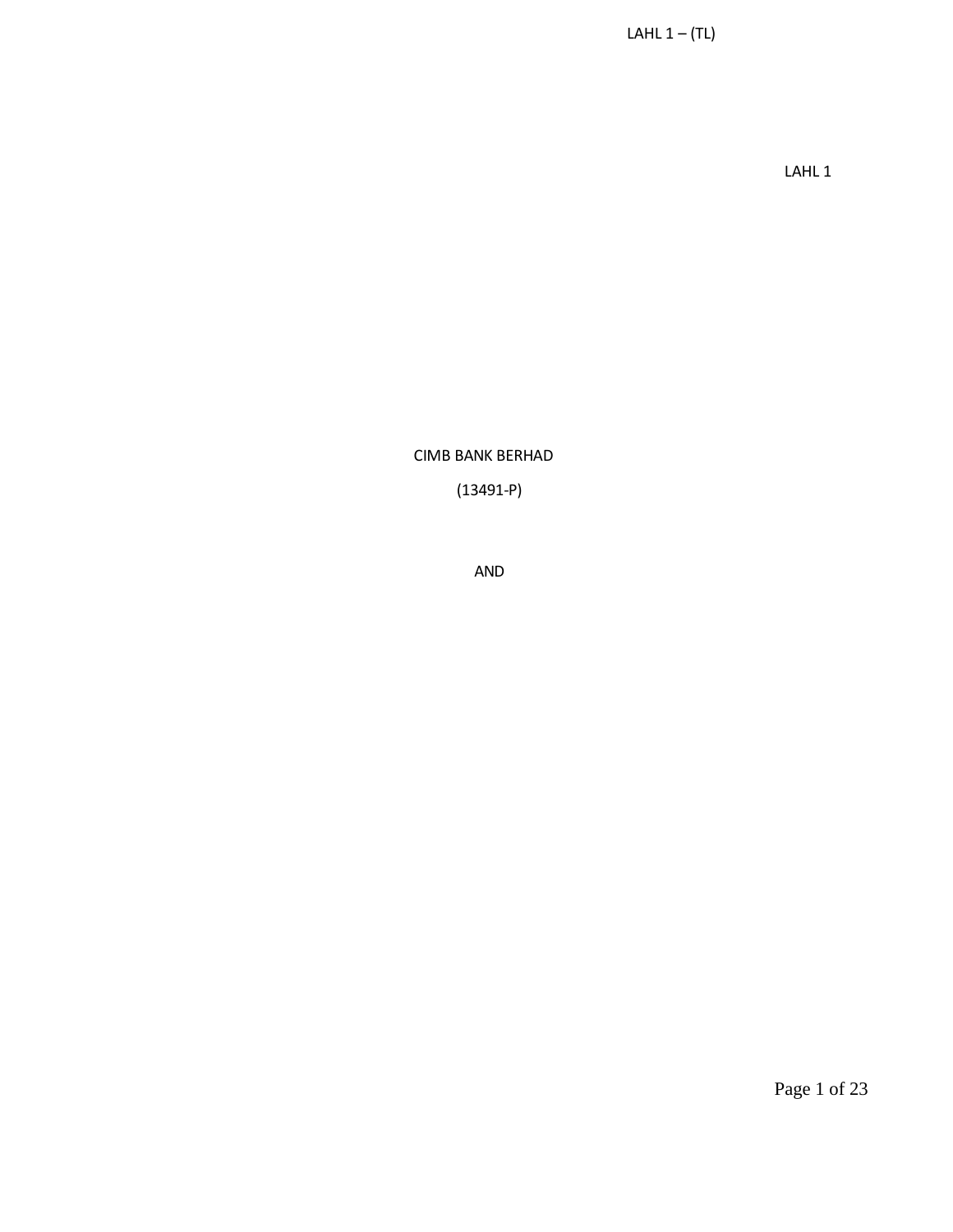LAHL 1

CIMB BANK BERHAD

(13491-P)

AND

Page 1 of 23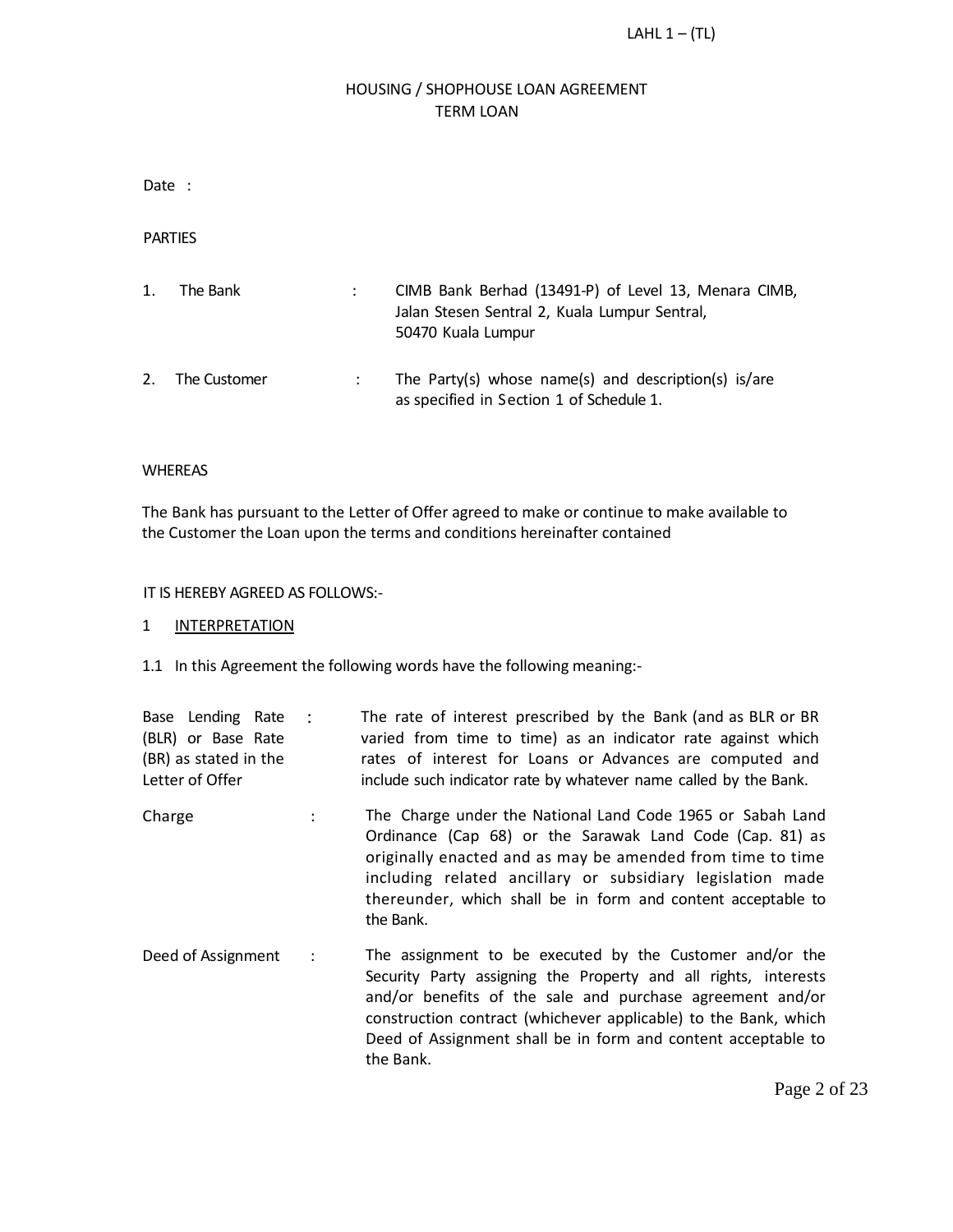# HOUSING / SHOPHOUSE LOAN AGREEMENT TERM LOAN

Date :

PARTIES

| 1. | The Bank     | CIMB Bank Berhad (13491-P) of Level 13, Menara CIMB,<br>Jalan Stesen Sentral 2, Kuala Lumpur Sentral,<br>50470 Kuala Lumpur |
|----|--------------|-----------------------------------------------------------------------------------------------------------------------------|
| 2. | The Customer | The Party(s) whose name(s) and description(s) is/are<br>as specified in Section 1 of Schedule 1.                            |

#### WHEREAS

The Bank has pursuant to the Letter of Offer agreed to make or continue to make available to the Customer the Loan upon the terms and conditions hereinafter contained

#### IT IS HEREBY AGREED AS FOLLOWS:-

#### 1 INTERPRETATION

1.1 In this Agreement the following words have the following meaning:-

|                                                                                     | The rate of interest prescribed by the Bank (and as BLR or BR |
|-------------------------------------------------------------------------------------|---------------------------------------------------------------|
| (BLR) or Base Rate<br>varied from time to time) as an indicator rate against which  |                                                               |
| (BR) as stated in the<br>rates of interest for Loans or Advances are computed and   |                                                               |
| include such indicator rate by whatever name called by the Bank.<br>Letter of Offer |                                                               |

- Charge : The Charge under the National Land Code 1965 or Sabah Land Ordinance (Cap 68) or the Sarawak Land Code (Cap. 81) as originally enacted and as may be amended from time to time including related ancillary or subsidiary legislation made thereunder, which shall be in form and content acceptable to the Bank.
- Deed of Assignment : The assignment to be executed by the Customer and/or the Security Party assigning the Property and all rights, interests and/or benefits of the sale and purchase agreement and/or construction contract (whichever applicable) to the Bank, which Deed of Assignment shall be in form and content acceptable to the Bank.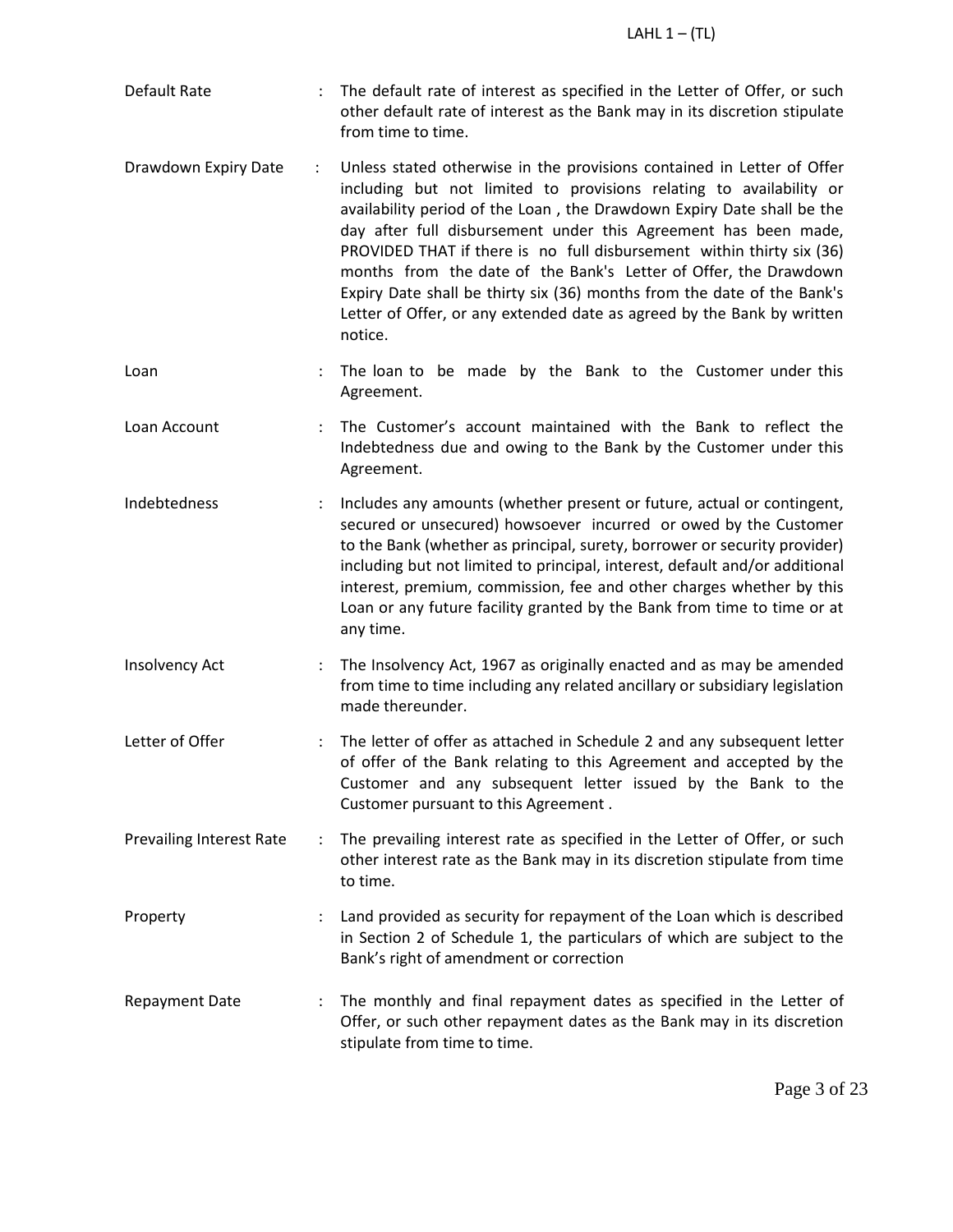- Default Rate The default rate of interest as specified in the Letter of Offer, or such other default rate of interest as the Bank may in its discretion stipulate from time to time.
- Drawdown Expiry Date : Unless stated otherwise in the provisions contained in Letter of Offer including but not limited to provisions relating to availability or availability period of the Loan , the Drawdown Expiry Date shall be the day after full disbursement under this Agreement has been made, PROVIDED THAT if there is no full disbursement within thirty six (36) months from the date of the Bank's Letter of Offer, the Drawdown Expiry Date shall be thirty six (36) months from the date of the Bank's Letter of Offer, or any extended date as agreed by the Bank by written notice.
- Loan : The loan to be made by the Bank to the Customer under this Agreement.
- Loan Account : The Customer's account maintained with the Bank to reflect the Indebtedness due and owing to the Bank by the Customer under this Agreement.
- Indebtedness : Includes any amounts (whether present or future, actual or contingent, secured or unsecured) howsoever incurred or owed by the Customer to the Bank (whether as principal, surety, borrower or security provider) including but not limited to principal, interest, default and/or additional interest, premium, commission, fee and other charges whether by this Loan or any future facility granted by the Bank from time to time or at any time.
- Insolvency Act : The Insolvency Act, 1967 as originally enacted and as may be amended from time to time including any related ancillary or subsidiary legislation made thereunder.
- Letter of Offer **1988** : The letter of offer as attached in Schedule 2 and any subsequent letter of offer of the Bank relating to this Agreement and accepted by the Customer and any subsequent letter issued by the Bank to the Customer pursuant to this Agreement .
- Prevailing Interest Rate : The prevailing interest rate as specified in the Letter of Offer, or such other interest rate as the Bank may in its discretion stipulate from time to time.
- Property : Land provided as security for repayment of the Loan which is described in Section 2 of Schedule 1, the particulars of which are subject to the Bank's right of amendment or correction
- Repayment Date : The monthly and final repayment dates as specified in the Letter of Offer, or such other repayment dates as the Bank may in its discretion stipulate from time to time.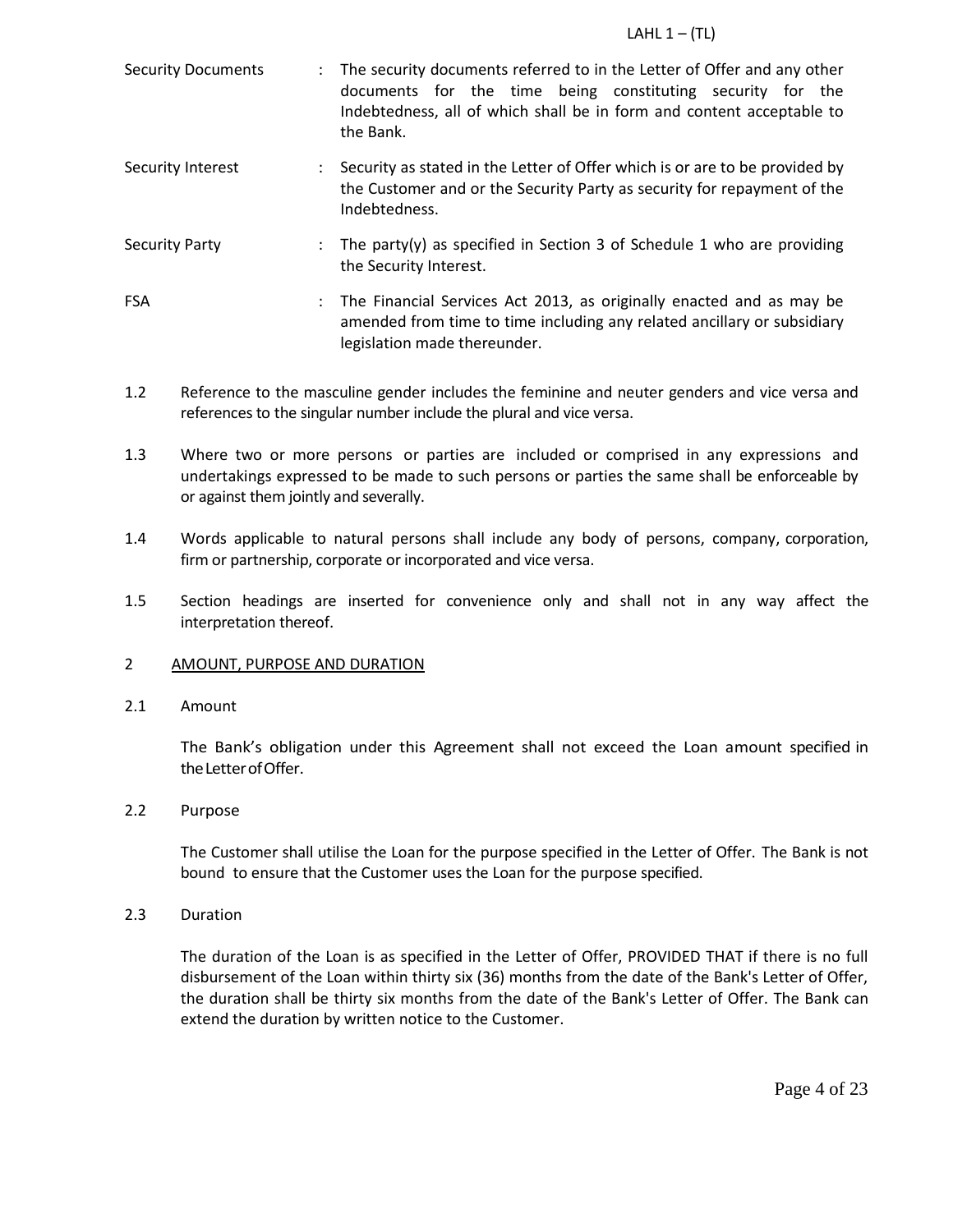| <b>Security Documents</b> | $\ddot{\phantom{0}}$ | The security documents referred to in the Letter of Offer and any other<br>documents for the time being constituting security for the<br>Indebtedness, all of which shall be in form and content acceptable to<br>the Bank. |  |
|---------------------------|----------------------|-----------------------------------------------------------------------------------------------------------------------------------------------------------------------------------------------------------------------------|--|
| Security Interest         |                      | Security as stated in the Letter of Offer which is or are to be provided by<br>the Customer and or the Security Party as security for repayment of the<br>Indebtedness.                                                     |  |
| <b>Security Party</b>     | $\ddot{\phantom{a}}$ | The party(y) as specified in Section 3 of Schedule 1 who are providing<br>the Security Interest.                                                                                                                            |  |
| <b>FSA</b>                | ÷                    | The Financial Services Act 2013, as originally enacted and as may be<br>amended from time to time including any related ancillary or subsidiary<br>legislation made thereunder.                                             |  |

- 1.2 Reference to the masculine gender includes the feminine and neuter genders and vice versa and references to the singular number include the plural and vice versa.
- 1.3 Where two or more persons or parties are included or comprised in any expressions and undertakings expressed to be made to such persons or parties the same shall be enforceable by or against them jointly and severally.
- 1.4 Words applicable to natural persons shall include any body of persons, company, corporation, firm or partnership, corporate or incorporated and vice versa.
- 1.5 Section headings are inserted for convenience only and shall not in any way affect the interpretation thereof.
- 2 AMOUNT, PURPOSE AND DURATION
- 2.1 Amount

The Bank's obligation under this Agreement shall not exceed the Loan amount specified in the Letter of Offer.

# 2.2 Purpose

The Customer shall utilise the Loan for the purpose specified in the Letter of Offer. The Bank is not bound to ensure that the Customer uses the Loan for the purpose specified.

2.3 Duration

The duration of the Loan is as specified in the Letter of Offer, PROVIDED THAT if there is no full disbursement of the Loan within thirty six (36) months from the date of the Bank's Letter of Offer, the duration shall be thirty six months from the date of the Bank's Letter of Offer. The Bank can extend the duration by written notice to the Customer.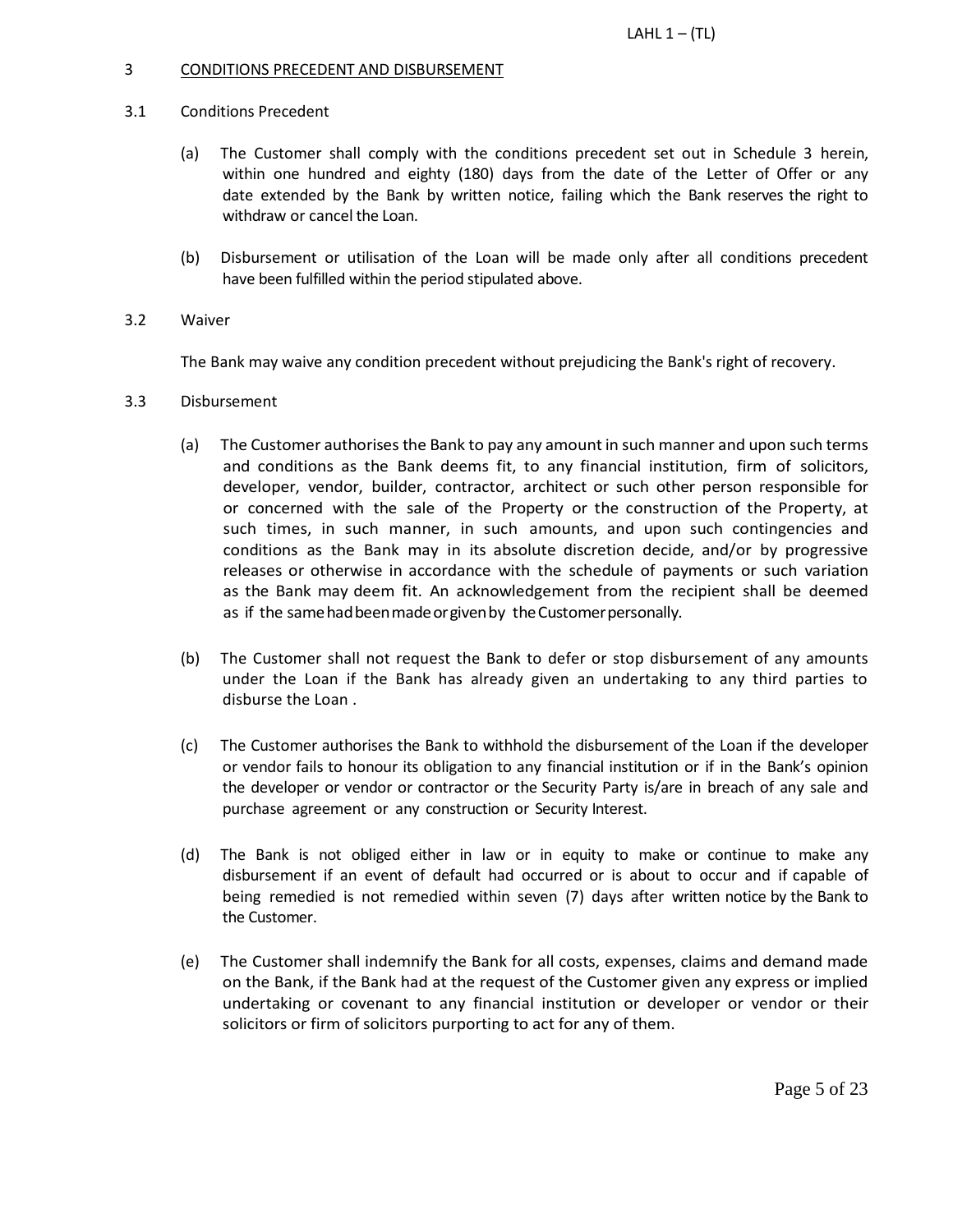# 3 CONDITIONS PRECEDENT AND DISBURSEMENT

### 3.1 Conditions Precedent

- (a) The Customer shall comply with the conditions precedent set out in Schedule 3 herein, within one hundred and eighty (180) days from the date of the Letter of Offer or any date extended by the Bank by written notice, failing which the Bank reserves the right to withdraw or cancel the Loan.
- (b) Disbursement or utilisation of the Loan will be made only after all conditions precedent have been fulfilled within the period stipulated above.
- 3.2 Waiver

The Bank may waive any condition precedent without prejudicing the Bank's right of recovery.

- 3.3 Disbursement
	- (a) The Customer authorises the Bank to pay any amount in such manner and upon such terms and conditions as the Bank deems fit, to any financial institution, firm of solicitors, developer, vendor, builder, contractor, architect or such other person responsible for or concerned with the sale of the Property or the construction of the Property, at such times, in such manner, in such amounts, and upon such contingencies and conditions as the Bank may in its absolute discretion decide, and/or by progressive releases or otherwise in accordance with the schedule of payments or such variation as the Bank may deem fit. An acknowledgement from the recipient shall be deemed as if the same had been made or given by the Customer personally.
	- (b) The Customer shall not request the Bank to defer or stop disbursement of any amounts under the Loan if the Bank has already given an undertaking to any third parties to disburse the Loan .
	- (c) The Customer authorises the Bank to withhold the disbursement of the Loan if the developer or vendor fails to honour its obligation to any financial institution or if in the Bank's opinion the developer or vendor or contractor or the Security Party is/are in breach of any sale and purchase agreement or any construction or Security Interest.
	- (d) The Bank is not obliged either in law or in equity to make or continue to make any disbursement if an event of default had occurred or is about to occur and if capable of being remedied is not remedied within seven (7) days after written notice by the Bank to the Customer.
	- (e) The Customer shall indemnify the Bank for all costs, expenses, claims and demand made on the Bank, if the Bank had at the request of the Customer given any express or implied undertaking or covenant to any financial institution or developer or vendor or their solicitors or firm of solicitors purporting to act for any of them.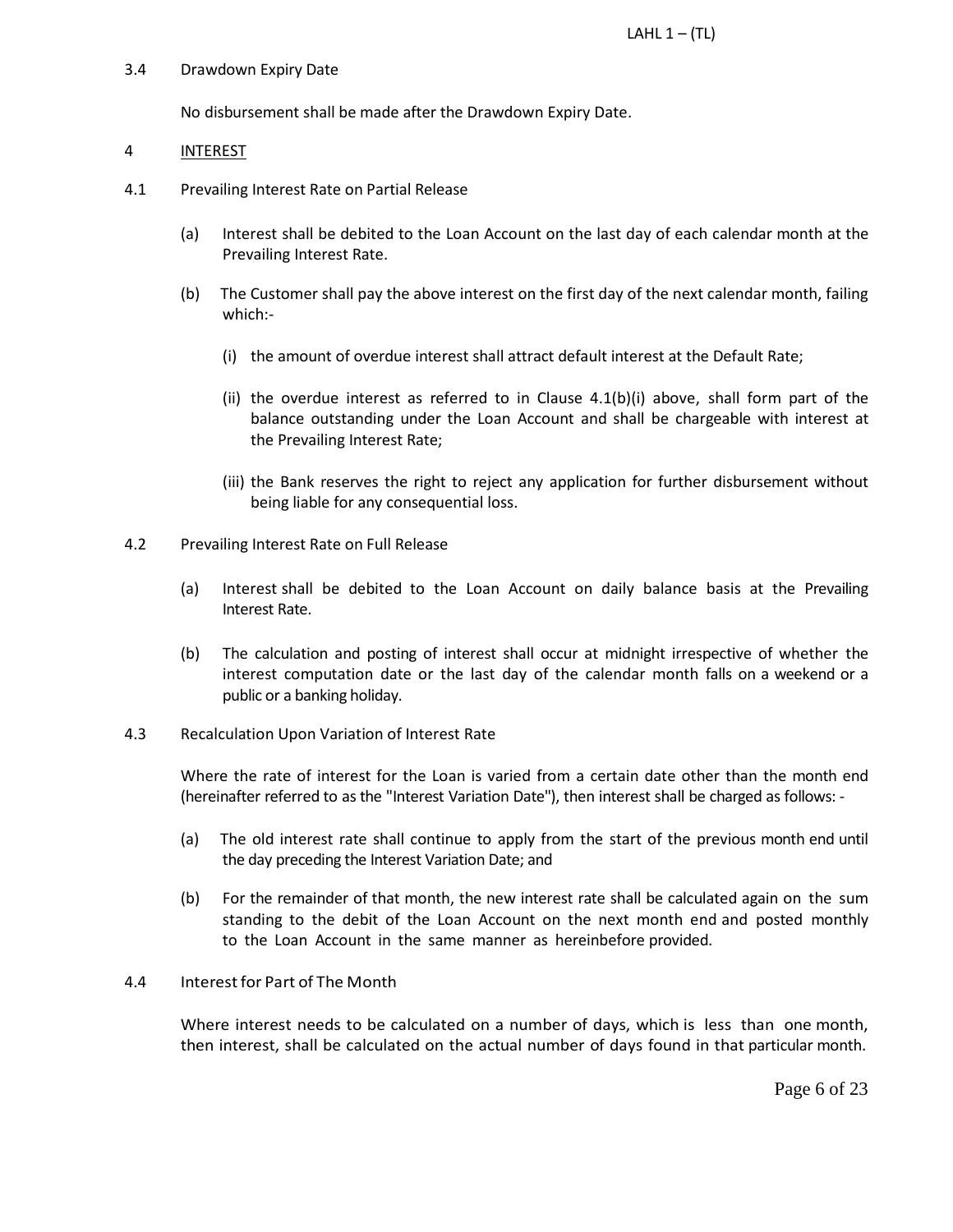### 3.4 Drawdown Expiry Date

No disbursement shall be made after the Drawdown Expiry Date.

### 4 INTEREST

- 4.1 Prevailing Interest Rate on Partial Release
	- (a) Interest shall be debited to the Loan Account on the last day of each calendar month at the Prevailing Interest Rate.
	- (b) The Customer shall pay the above interest on the first day of the next calendar month, failing which:-
		- (i) the amount of overdue interest shall attract default interest at the Default Rate;
		- (ii) the overdue interest as referred to in Clause  $4.1(b)(i)$  above, shall form part of the balance outstanding under the Loan Account and shall be chargeable with interest at the Prevailing Interest Rate;
		- (iii) the Bank reserves the right to reject any application for further disbursement without being liable for any consequential loss.
- 4.2 Prevailing Interest Rate on Full Release
	- (a) Interest shall be debited to the Loan Account on daily balance basis at the Prevailing Interest Rate.
	- (b) The calculation and posting of interest shall occur at midnight irrespective of whether the interest computation date or the last day of the calendar month falls on a weekend or a public or a banking holiday.
- 4.3 Recalculation Upon Variation of Interest Rate

Where the rate of interest for the Loan is varied from a certain date other than the month end (hereinafter referred to as the "Interest Variation Date"), then interest shall be charged as follows: -

- (a) The old interest rate shall continue to apply from the start of the previous month end until the day preceding the Interest Variation Date; and
- (b) For the remainder of that month, the new interest rate shall be calculated again on the sum standing to the debit of the Loan Account on the next month end and posted monthly to the Loan Account in the same manner as hereinbefore provided.

# 4.4 Interest for Part of The Month

Where interest needs to be calculated on a number of days, which is less than one month, then interest, shall be calculated on the actual number of days found in that particular month.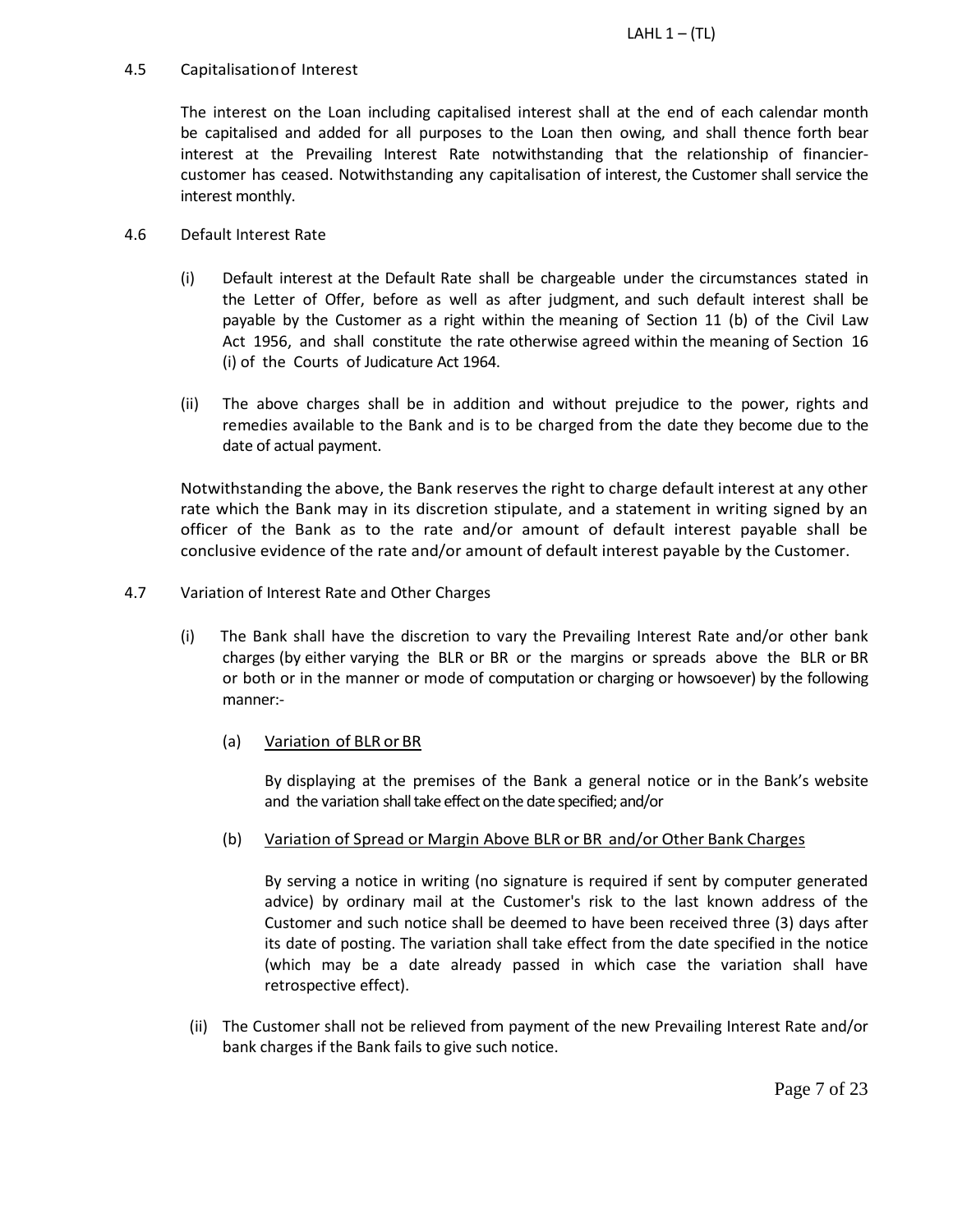# 4.5 Capitalisationof Interest

The interest on the Loan including capitalised interest shall at the end of each calendar month be capitalised and added for all purposes to the Loan then owing, and shall thence forth bear interest at the Prevailing Interest Rate notwithstanding that the relationship of financiercustomer has ceased. Notwithstanding any capitalisation of interest, the Customer shall service the interest monthly.

# 4.6 Default Interest Rate

- (i) Default interest at the Default Rate shall be chargeable under the circumstances stated in the Letter of Offer, before as well as after judgment, and such default interest shall be payable by the Customer as a right within the meaning of Section 11 (b) of the Civil Law Act 1956, and shall constitute the rate otherwise agreed within the meaning of Section 16 (i) of the Courts of Judicature Act 1964.
- (ii) The above charges shall be in addition and without prejudice to the power, rights and remedies available to the Bank and is to be charged from the date they become due to the date of actual payment.

Notwithstanding the above, the Bank reserves the right to charge default interest at any other rate which the Bank may in its discretion stipulate, and a statement in writing signed by an officer of the Bank as to the rate and/or amount of default interest payable shall be conclusive evidence of the rate and/or amount of default interest payable by the Customer.

- 4.7 Variation of Interest Rate and Other Charges
	- (i) The Bank shall have the discretion to vary the Prevailing Interest Rate and/or other bank charges (by either varying the BLR or BR or the margins or spreads above the BLR or BR or both or in the manner or mode of computation or charging or howsoever) by the following manner:-
		- (a) Variation of BLR or BR

By displaying at the premises of the Bank a general notice or in the Bank's website and the variation shall take effect on the date specified; and/or

(b) Variation of Spread or Margin Above BLR or BR and/or Other Bank Charges

By serving a notice in writing (no signature is required if sent by computer generated advice) by ordinary mail at the Customer's risk to the last known address of the Customer and such notice shall be deemed to have been received three (3) days after its date of posting. The variation shall take effect from the date specified in the notice (which may be a date already passed in which case the variation shall have retrospective effect).

(ii) The Customer shall not be relieved from payment of the new Prevailing Interest Rate and/or bank charges if the Bank fails to give such notice.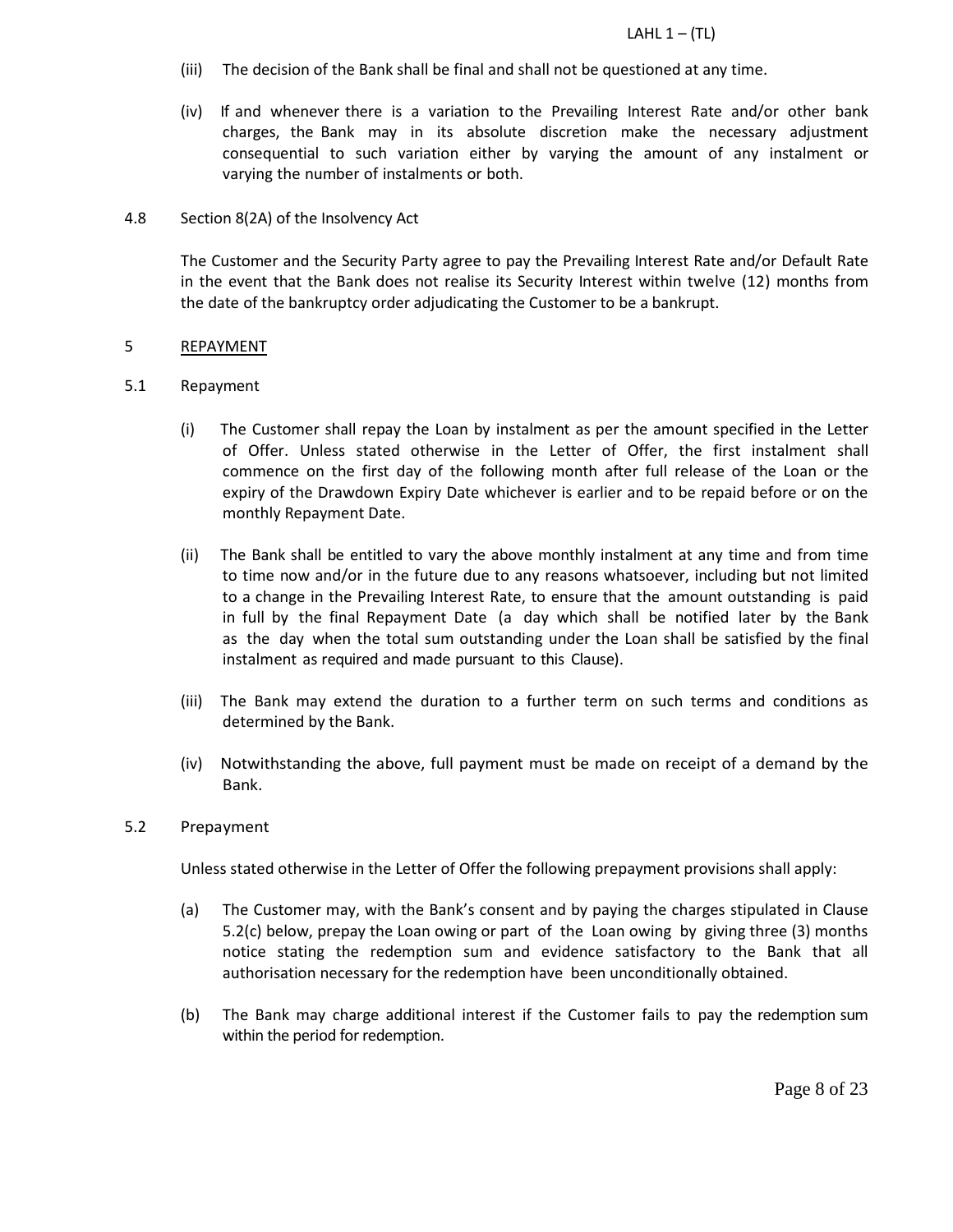- (iii) The decision of the Bank shall be final and shall not be questioned at any time.
- (iv) If and whenever there is a variation to the Prevailing Interest Rate and/or other bank charges, the Bank may in its absolute discretion make the necessary adjustment consequential to such variation either by varying the amount of any instalment or varying the number of instalments or both.

# 4.8 Section 8(2A) of the Insolvency Act

The Customer and the Security Party agree to pay the Prevailing Interest Rate and/or Default Rate in the event that the Bank does not realise its Security Interest within twelve (12) months from the date of the bankruptcy order adjudicating the Customer to be a bankrupt.

## 5 REPAYMENT

## 5.1 Repayment

- (i) The Customer shall repay the Loan by instalment as per the amount specified in the Letter of Offer. Unless stated otherwise in the Letter of Offer, the first instalment shall commence on the first day of the following month after full release of the Loan or the expiry of the Drawdown Expiry Date whichever is earlier and to be repaid before or on the monthly Repayment Date.
- (ii) The Bank shall be entitled to vary the above monthly instalment at any time and from time to time now and/or in the future due to any reasons whatsoever, including but not limited to a change in the Prevailing Interest Rate, to ensure that the amount outstanding is paid in full by the final Repayment Date (a day which shall be notified later by the Bank as the day when the total sum outstanding under the Loan shall be satisfied by the final instalment as required and made pursuant to this Clause).
- (iii) The Bank may extend the duration to a further term on such terms and conditions as determined by the Bank.
- (iv) Notwithstanding the above, full payment must be made on receipt of a demand by the Bank.

### 5.2 Prepayment

Unless stated otherwise in the Letter of Offer the following prepayment provisions shall apply:

- (a) The Customer may, with the Bank's consent and by paying the charges stipulated in Clause 5.2(c) below, prepay the Loan owing or part of the Loan owing by giving three (3) months notice stating the redemption sum and evidence satisfactory to the Bank that all authorisation necessary for the redemption have been unconditionally obtained.
- (b) The Bank may charge additional interest if the Customer fails to pay the redemption sum within the period for redemption.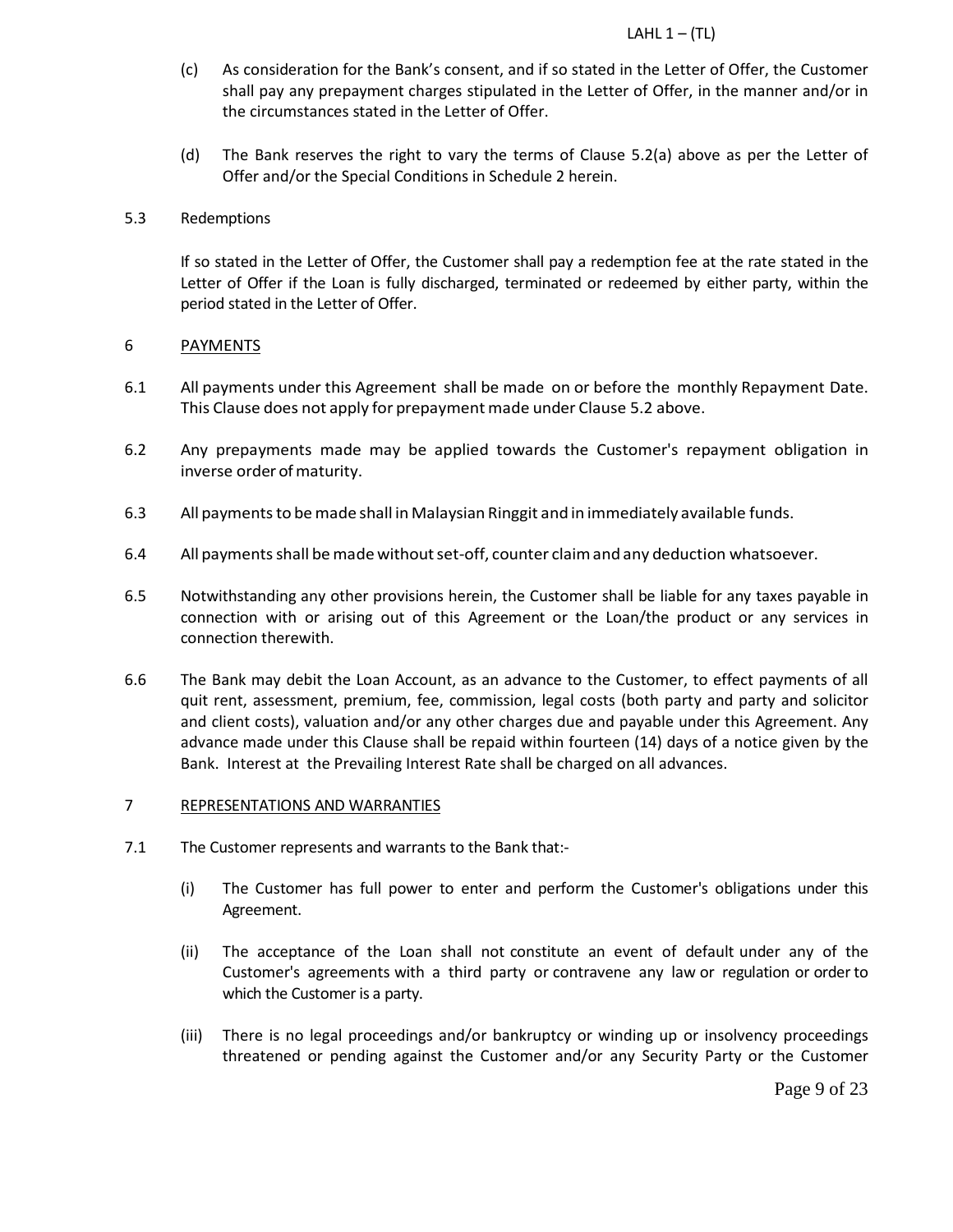- (c) As consideration for the Bank's consent, and if so stated in the Letter of Offer, the Customer shall pay any prepayment charges stipulated in the Letter of Offer, in the manner and/or in the circumstances stated in the Letter of Offer.
- (d) The Bank reserves the right to vary the terms of Clause 5.2(a) above as per the Letter of Offer and/or the Special Conditions in Schedule 2 herein.

### 5.3 Redemptions

If so stated in the Letter of Offer, the Customer shall pay a redemption fee at the rate stated in the Letter of Offer if the Loan is fully discharged, terminated or redeemed by either party, within the period stated in the Letter of Offer.

## 6 PAYMENTS

- 6.1 All payments under this Agreement shall be made on or before the monthly Repayment Date. This Clause does not apply for prepayment made under Clause 5.2 above.
- 6.2 Any prepayments made may be applied towards the Customer's repayment obligation in inverse order of maturity.
- 6.3 All paymentsto bemade shall in Malaysian Ringgit and in immediately available funds.
- 6.4 All payments shall be made without set-off, counter claim and any deduction whatsoever.
- 6.5 Notwithstanding any other provisions herein, the Customer shall be liable for any taxes payable in connection with or arising out of this Agreement or the Loan/the product or any services in connection therewith.
- 6.6 The Bank may debit the Loan Account, as an advance to the Customer, to effect payments of all quit rent, assessment, premium, fee, commission, legal costs (both party and party and solicitor and client costs), valuation and/or any other charges due and payable under this Agreement. Any advance made under this Clause shall be repaid within fourteen (14) days of a notice given by the Bank. Interest at the Prevailing Interest Rate shall be charged on all advances.

# 7 REPRESENTATIONS AND WARRANTIES

- 7.1 The Customer represents and warrants to the Bank that:-
	- (i) The Customer has full power to enter and perform the Customer's obligations under this Agreement.
	- (ii) The acceptance of the Loan shall not constitute an event of default under any of the Customer's agreements with a third party or contravene any law or regulation or orderto which the Customer is a party.
	- (iii) There is no legal proceedings and/or bankruptcy or winding up or insolvency proceedings threatened or pending against the Customer and/or any Security Party or the Customer

Page 9 of 23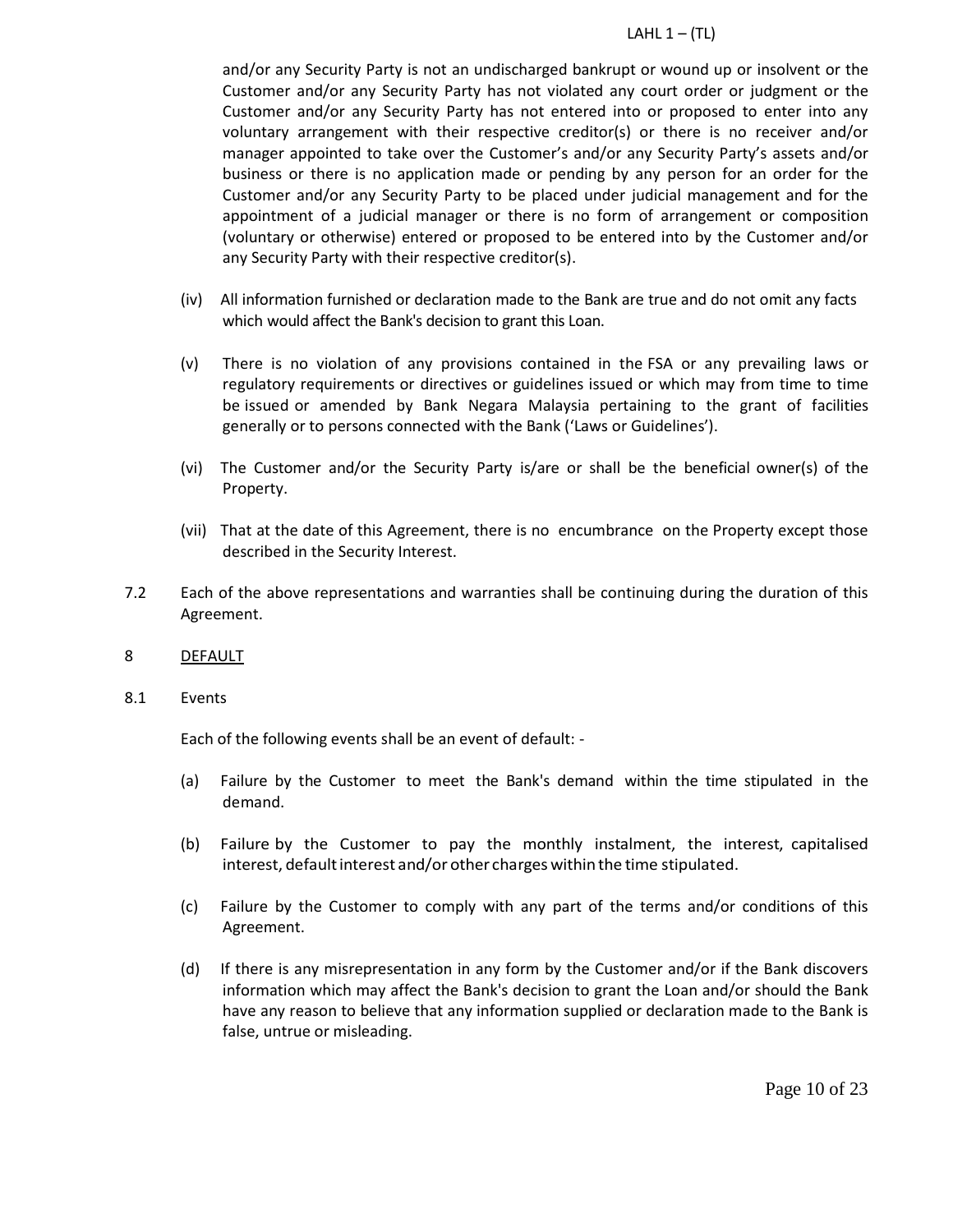and/or any Security Party is not an undischarged bankrupt or wound up or insolvent or the Customer and/or any Security Party has not violated any court order or judgment or the Customer and/or any Security Party has not entered into or proposed to enter into any voluntary arrangement with their respective creditor(s) or there is no receiver and/or manager appointed to take over the Customer's and/or any Security Party's assets and/or business or there is no application made or pending by any person for an order for the Customer and/or any Security Party to be placed under judicial management and for the appointment of a judicial manager or there is no form of arrangement or composition (voluntary or otherwise) entered or proposed to be entered into by the Customer and/or any Security Party with their respective creditor(s).

- (iv) All information furnished or declaration made to the Bank are true and do not omit any facts which would affect the Bank's decision to grant this Loan.
- (v) There is no violation of any provisions contained in the FSA or any prevailing laws or regulatory requirements or directives or guidelines issued or which may from time to time be issued or amended by Bank Negara Malaysia pertaining to the grant of facilities generally or to persons connected with the Bank ('Laws or Guidelines').
- (vi) The Customer and/or the Security Party is/are or shall be the beneficial owner(s) of the Property.
- (vii) That at the date of this Agreement, there is no encumbrance on the Property except those described in the Security Interest.
- 7.2 Each of the above representations and warranties shall be continuing during the duration of this Agreement.
- 8 DEFAULT
- 8.1 Events

Each of the following events shall be an event of default: -

- (a) Failure by the Customer to meet the Bank's demand within the time stipulated in the demand.
- (b) Failure by the Customer to pay the monthly instalment, the interest, capitalised interest, default interest and/or other charges within the time stipulated.
- (c) Failure by the Customer to comply with any part of the terms and/or conditions of this Agreement.
- (d) If there is any misrepresentation in any form by the Customer and/or if the Bank discovers information which may affect the Bank's decision to grant the Loan and/or should the Bank have any reason to believe that any information supplied or declaration made to the Bank is false, untrue or misleading.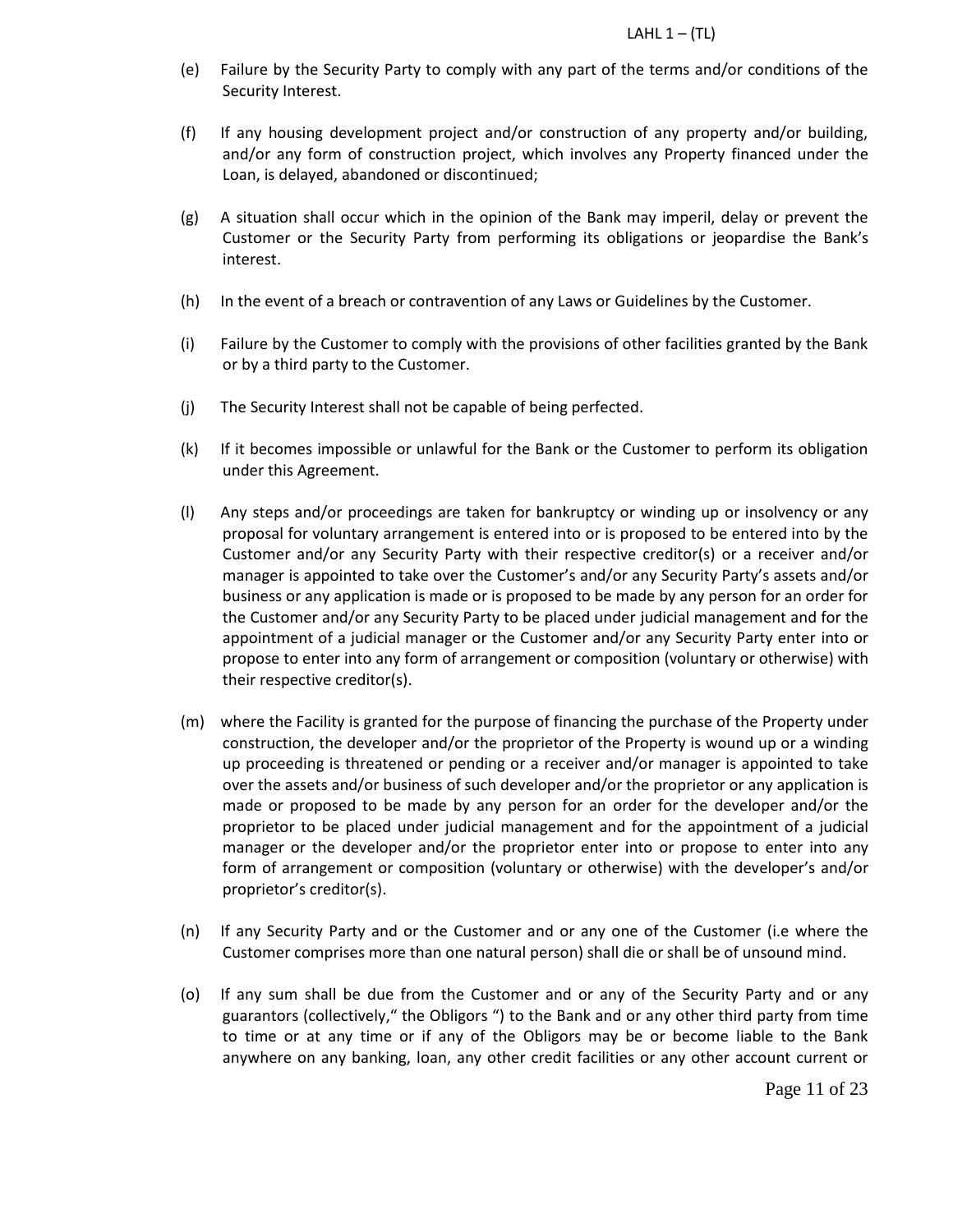- (e) Failure by the Security Party to comply with any part of the terms and/or conditions of the Security Interest.
- (f) If any housing development project and/or construction of any property and/or building, and/or any form of construction project, which involves any Property financed under the Loan, is delayed, abandoned or discontinued;
- (g) A situation shall occur which in the opinion of the Bank may imperil, delay or prevent the Customer or the Security Party from performing its obligations or jeopardise the Bank's interest.
- (h) In the event of a breach or contravention of any Laws or Guidelines by the Customer.
- (i) Failure by the Customer to comply with the provisions of other facilities granted by the Bank or by a third party to the Customer.
- (j) The Security Interest shall not be capable of being perfected.
- (k) If it becomes impossible or unlawful for the Bank or the Customer to perform its obligation under this Agreement.
- (l) Any steps and/or proceedings are taken for bankruptcy or winding up or insolvency or any proposal for voluntary arrangement is entered into or is proposed to be entered into by the Customer and/or any Security Party with their respective creditor(s) or a receiver and/or manager is appointed to take over the Customer's and/or any Security Party's assets and/or business or any application is made or is proposed to be made by any person for an order for the Customer and/or any Security Party to be placed under judicial management and for the appointment of a judicial manager or the Customer and/or any Security Party enter into or propose to enter into any form of arrangement or composition (voluntary or otherwise) with their respective creditor(s).
- (m) where the Facility is granted for the purpose of financing the purchase of the Property under construction, the developer and/or the proprietor of the Property is wound up or a winding up proceeding is threatened or pending or a receiver and/or manager is appointed to take over the assets and/or business of such developer and/or the proprietor or any application is made or proposed to be made by any person for an order for the developer and/or the proprietor to be placed under judicial management and for the appointment of a judicial manager or the developer and/or the proprietor enter into or propose to enter into any form of arrangement or composition (voluntary or otherwise) with the developer's and/or proprietor's creditor(s).
- (n) If any Security Party and or the Customer and or any one of the Customer (i.e where the Customer comprises more than one natural person) shall die or shall be of unsound mind.
- (o) If any sum shall be due from the Customer and or any of the Security Party and or any guarantors (collectively," the Obligors ") to the Bank and or any other third party from time to time or at any time or if any of the Obligors may be or become liable to the Bank anywhere on any banking, loan, any other credit facilities or any other account current or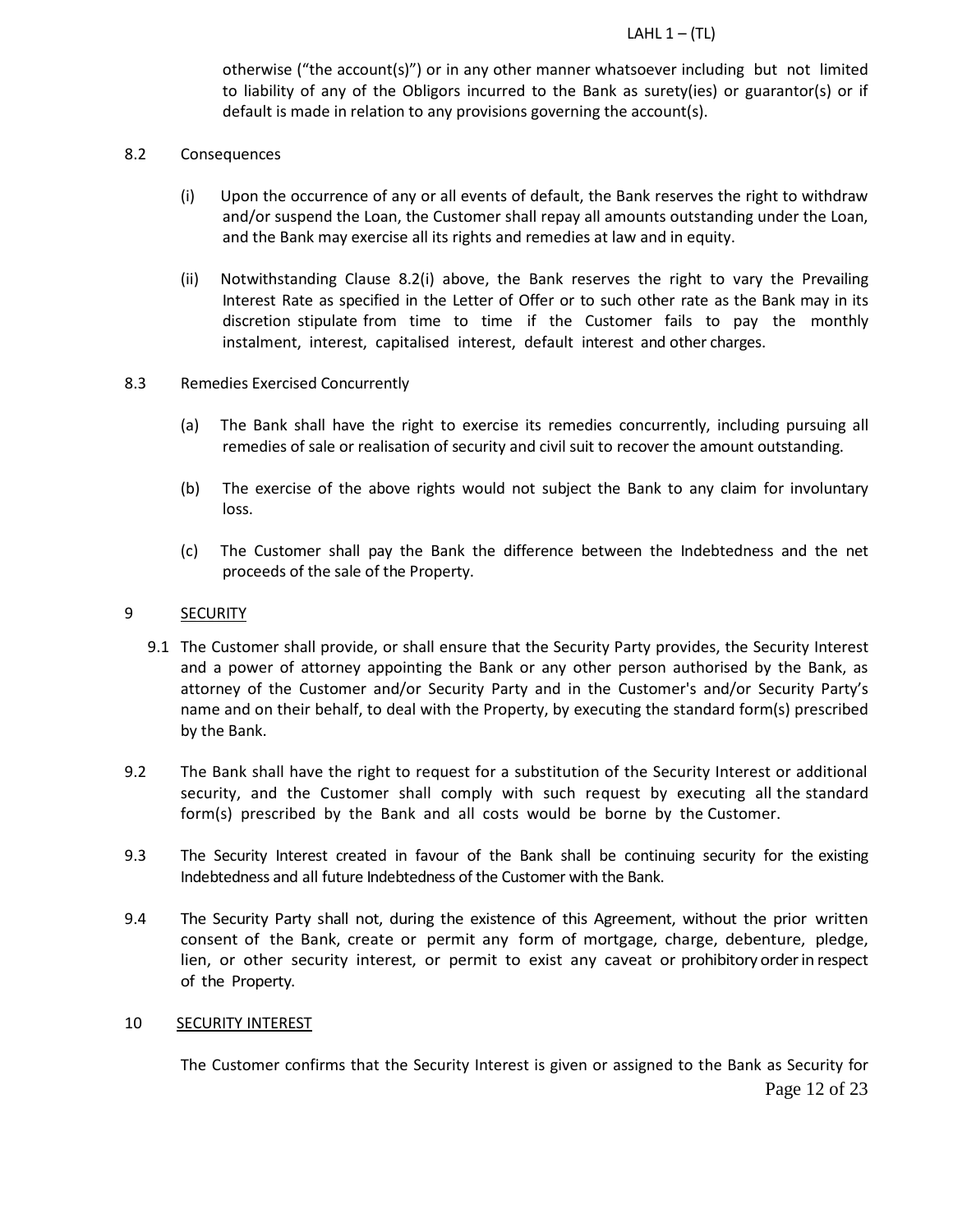otherwise ("the account(s)") or in any other manner whatsoever including but not limited to liability of any of the Obligors incurred to the Bank as surety(ies) or guarantor(s) or if default is made in relation to any provisions governing the account(s).

- 8.2 Consequences
	- (i) Upon the occurrence of any or all events of default, the Bank reserves the right to withdraw and/or suspend the Loan, the Customer shall repay all amounts outstanding under the Loan, and the Bank may exercise all its rights and remedies at law and in equity.
	- (ii) Notwithstanding Clause 8.2(i) above, the Bank reserves the right to vary the Prevailing Interest Rate as specified in the Letter of Offer or to such other rate as the Bank may in its discretion stipulate from time to time if the Customer fails to pay the monthly instalment, interest, capitalised interest, default interest and other charges.

## 8.3 Remedies Exercised Concurrently

- (a) The Bank shall have the right to exercise its remedies concurrently, including pursuing all remedies of sale or realisation of security and civil suit to recover the amount outstanding.
- (b) The exercise of the above rights would not subject the Bank to any claim for involuntary loss.
- (c) The Customer shall pay the Bank the difference between the Indebtedness and the net proceeds of the sale of the Property.

#### 9 **SECURITY**

- 9.1 The Customer shall provide, or shall ensure that the Security Party provides, the Security Interest and a power of attorney appointing the Bank or any other person authorised by the Bank, as attorney of the Customer and/or Security Party and in the Customer's and/or Security Party's name and on their behalf, to deal with the Property, by executing the standard form(s) prescribed by the Bank.
- 9.2 The Bank shall have the right to request for a substitution of the Security Interest or additional security, and the Customer shall comply with such request by executing all the standard form(s) prescribed by the Bank and all costs would be borne by the Customer.
- 9.3 The Security Interest created in favour of the Bank shall be continuing security for the existing Indebtedness and all future Indebtedness of the Customer with the Bank.
- 9.4 The Security Party shall not, during the existence of this Agreement, without the prior written consent of the Bank, create or permit any form of mortgage, charge, debenture, pledge, lien, or other security interest, or permit to exist any caveat or prohibitory orderin respect of the Property.

#### 10 **SECURITY INTEREST**

The Customer confirms that the Security Interest is given or assigned to the Bank as Security for

Page 12 of 23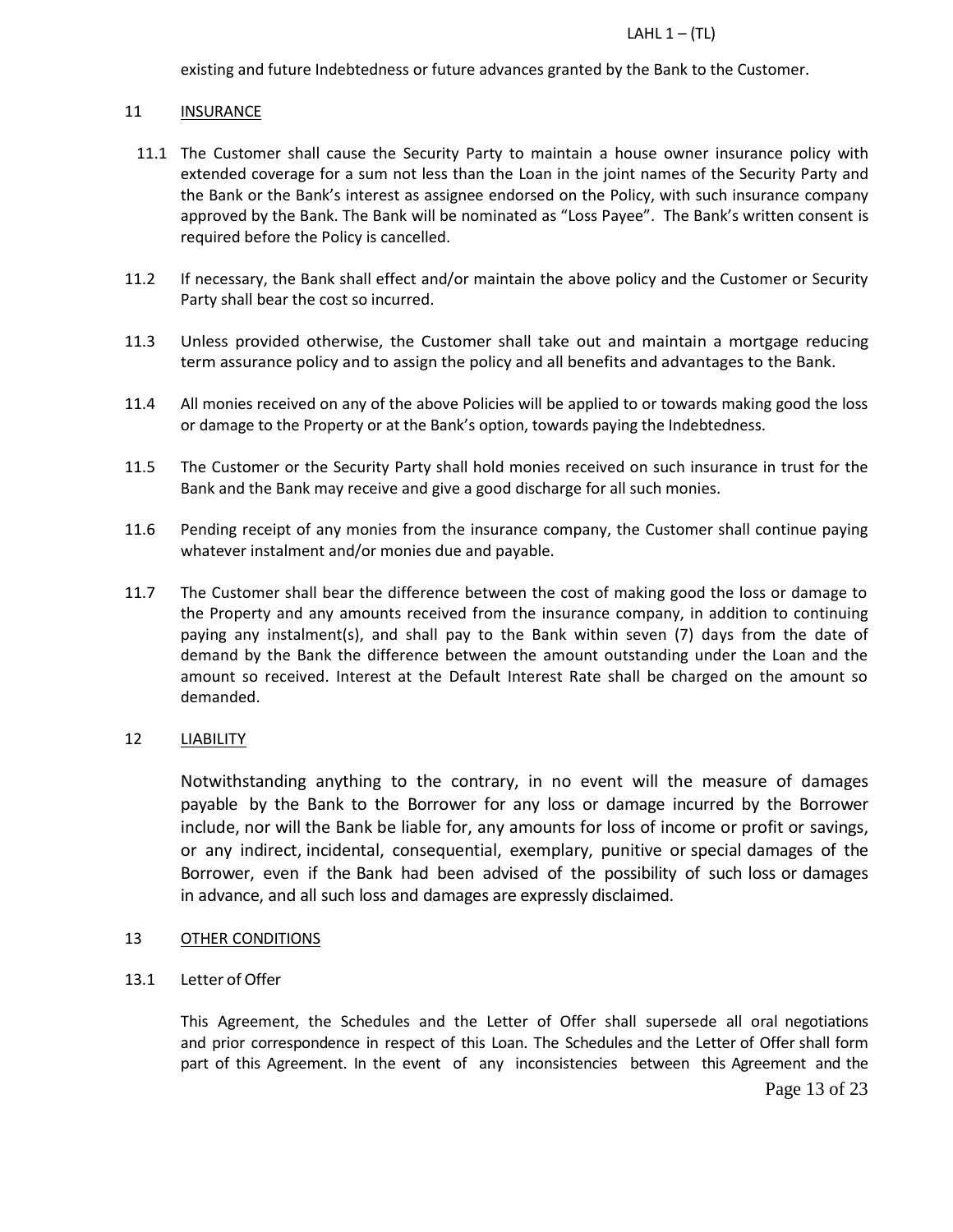existing and future Indebtedness or future advances granted by the Bank to the Customer.

# 11 INSURANCE

- 11.1 The Customer shall cause the Security Party to maintain a house owner insurance policy with extended coverage for a sum not less than the Loan in the joint names of the Security Party and the Bank or the Bank's interest as assignee endorsed on the Policy, with such insurance company approved by the Bank. The Bank will be nominated as "Loss Payee". The Bank's written consent is required before the Policy is cancelled.
- 11.2 If necessary, the Bank shall effect and/or maintain the above policy and the Customer or Security Party shall bear the cost so incurred.
- 11.3 Unless provided otherwise, the Customer shall take out and maintain a mortgage reducing term assurance policy and to assign the policy and all benefits and advantages to the Bank.
- 11.4 All monies received on any of the above Policies will be applied to or towards making good the loss or damage to the Property or at the Bank's option, towards paying the Indebtedness.
- 11.5 The Customer or the Security Party shall hold monies received on such insurance in trust for the Bank and the Bank may receive and give a good discharge for all such monies.
- 11.6 Pending receipt of any monies from the insurance company, the Customer shall continue paying whatever instalment and/or monies due and payable.
- 11.7 The Customer shall bear the difference between the cost of making good the loss or damage to the Property and any amounts received from the insurance company, in addition to continuing paying any instalment(s), and shall pay to the Bank within seven (7) days from the date of demand by the Bank the difference between the amount outstanding under the Loan and the amount so received. Interest at the Default Interest Rate shall be charged on the amount so demanded.

# 12 LIABILITY

Notwithstanding anything to the contrary, in no event will the measure of damages payable by the Bank to the Borrower for any loss or damage incurred by the Borrower include, nor will the Bank be liable for, any amounts for loss of income or profit or savings, or any indirect, incidental, consequential, exemplary, punitive or special damages of the Borrower, even if the Bank had been advised of the possibility of such loss or damages in advance, and all such loss and damages are expressly disclaimed.

# 13 OTHER CONDITIONS

13.1 Letter of Offer

This Agreement, the Schedules and the Letter of Offer shall supersede all oral negotiations and prior correspondence in respect of this Loan. The Schedules and the Letter of Offer shall form part of this Agreement. In the event of any inconsistencies between this Agreement and the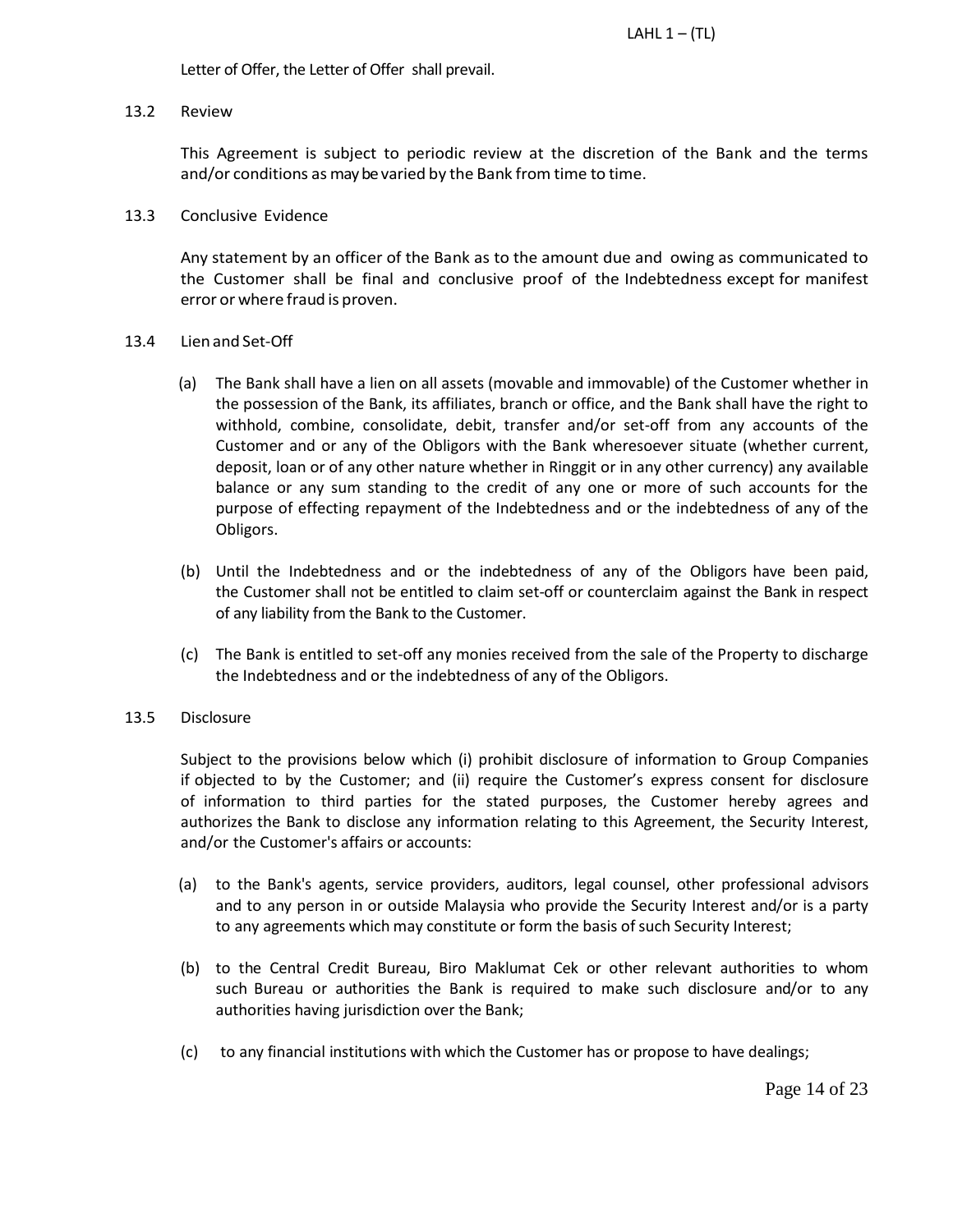Letter of Offer, the Letter of Offer shall prevail.

#### 13.2 Review

This Agreement is subject to periodic review at the discretion of the Bank and the terms and/or conditions as may be varied by the Bank from time to time.

### 13.3 Conclusive Evidence

Any statement by an officer of the Bank as to the amount due and owing as communicated to the Customer shall be final and conclusive proof of the Indebtedness except for manifest error or where fraud is proven.

## 13.4 Lien and Set-Off

- (a) The Bank shall have a lien on all assets (movable and immovable) of the Customer whether in the possession of the Bank, its affiliates, branch or office, and the Bank shall have the right to withhold, combine, consolidate, debit, transfer and/or set-off from any accounts of the Customer and or any of the Obligors with the Bank wheresoever situate (whether current, deposit, loan or of any other nature whether in Ringgit or in any other currency) any available balance or any sum standing to the credit of any one or more of such accounts for the purpose of effecting repayment of the Indebtedness and or the indebtedness of any of the Obligors.
- (b) Until the Indebtedness and or the indebtedness of any of the Obligors have been paid, the Customer shall not be entitled to claim set-off or counterclaim against the Bank in respect of any liability from the Bank to the Customer.
- (c) The Bank is entitled to set-off any monies received from the sale of the Property to discharge the Indebtedness and or the indebtedness of any of the Obligors.

# 13.5 Disclosure

Subject to the provisions below which (i) prohibit disclosure of information to Group Companies if objected to by the Customer; and (ii) require the Customer's express consent for disclosure of information to third parties for the stated purposes, the Customer hereby agrees and authorizes the Bank to disclose any information relating to this Agreement, the Security Interest, and/or the Customer's affairs or accounts:

- (a) to the Bank's agents, service providers, auditors, legal counsel, other professional advisors and to any person in or outside Malaysia who provide the Security Interest and/or is a party to any agreements which may constitute or form the basis of such Security Interest;
- (b) to the Central Credit Bureau, Biro Maklumat Cek or other relevant authorities to whom such Bureau or authorities the Bank is required to make such disclosure and/or to any authorities having jurisdiction over the Bank;
- (c) to any financial institutions with which the Customer has or propose to have dealings;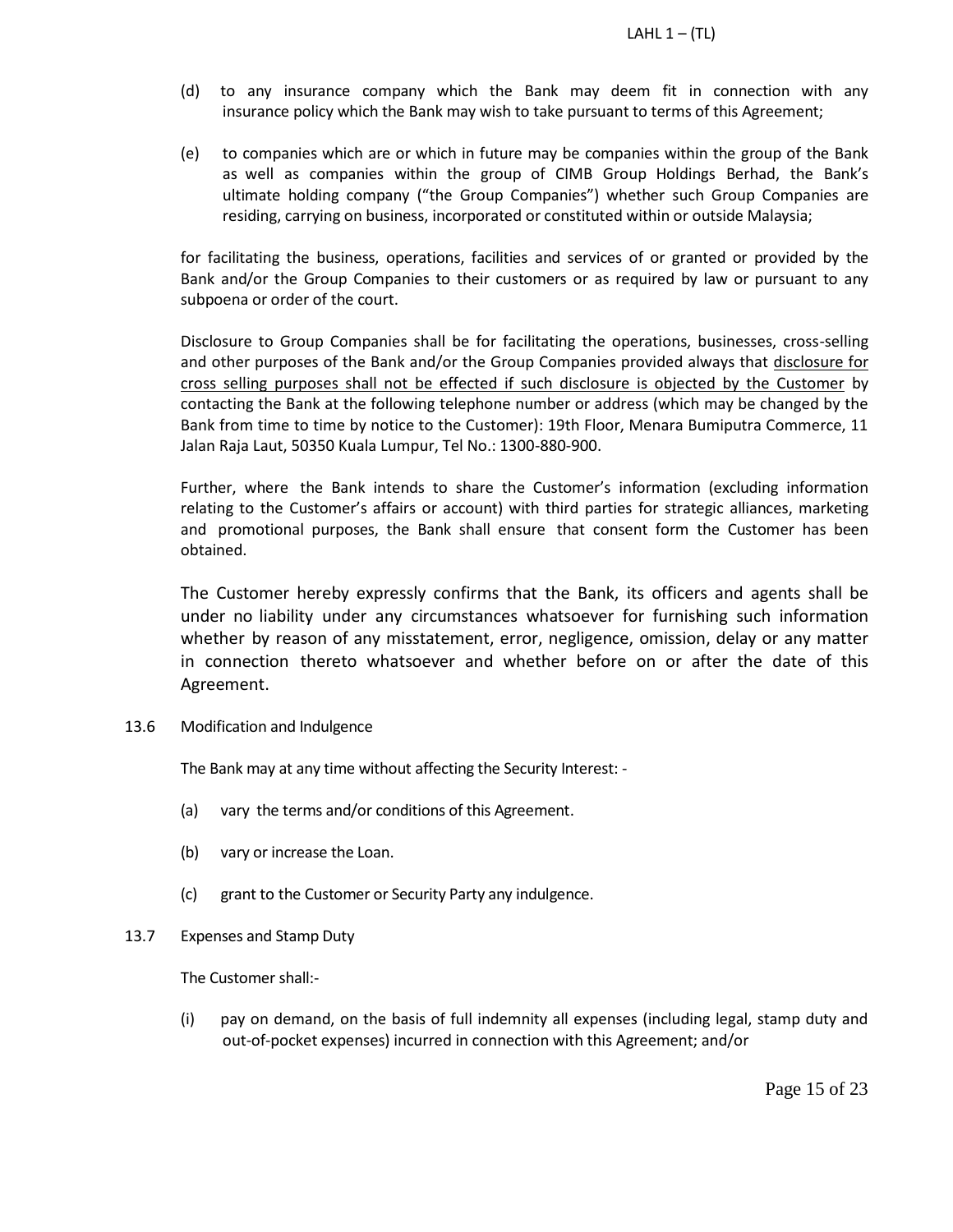- (d) to any insurance company which the Bank may deem fit in connection with any insurance policy which the Bank may wish to take pursuant to terms of this Agreement;
- (e) to companies which are or which in future may be companies within the group of the Bank as well as companies within the group of CIMB Group Holdings Berhad, the Bank's ultimate holding company ("the Group Companies") whether such Group Companies are residing, carrying on business, incorporated or constituted within or outside Malaysia;

for facilitating the business, operations, facilities and services of or granted or provided by the Bank and/or the Group Companies to their customers or as required by law or pursuant to any subpoena or order of the court.

Disclosure to Group Companies shall be for facilitating the operations, businesses, cross-selling and other purposes of the Bank and/or the Group Companies provided always that disclosure for cross selling purposes shall not be effected if such disclosure is objected by the Customer by contacting the Bank at the following telephone number or address (which may be changed by the Bank from time to time by notice to the Customer): 19th Floor, Menara Bumiputra Commerce, 11 Jalan Raja Laut, 50350 Kuala Lumpur, Tel No.: 1300-880-900.

Further, where the Bank intends to share the Customer's information (excluding information relating to the Customer's affairs or account) with third parties for strategic alliances, marketing and promotional purposes, the Bank shall ensure that consent form the Customer has been obtained.

The Customer hereby expressly confirms that the Bank, its officers and agents shall be under no liability under any circumstances whatsoever for furnishing such information whether by reason of any misstatement, error, negligence, omission, delay or any matter in connection thereto whatsoever and whether before on or after the date of this Agreement.

13.6 Modification and Indulgence

The Bank may at any time without affecting the Security Interest: -

- (a) vary the terms and/or conditions of this Agreement.
- (b) vary or increase the Loan.
- (c) grant to the Customer or Security Party any indulgence.
- 13.7 Expenses and Stamp Duty

The Customer shall:-

(i) pay on demand, on the basis of full indemnity all expenses (including legal, stamp duty and out-of-pocket expenses) incurred in connection with this Agreement; and/or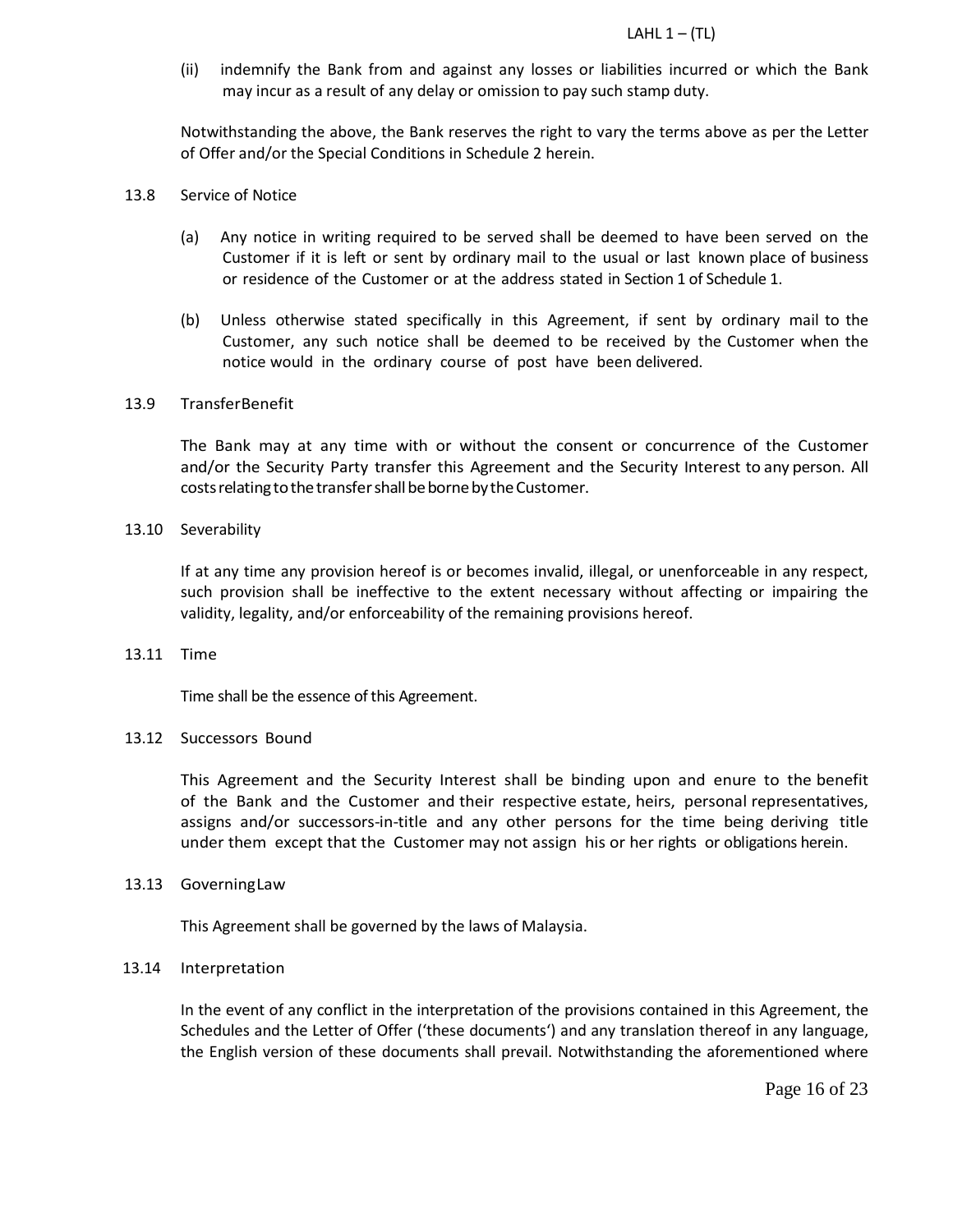(ii) indemnify the Bank from and against any losses or liabilities incurred or which the Bank may incur as a result of any delay or omission to pay such stamp duty.

Notwithstanding the above, the Bank reserves the right to vary the terms above as per the Letter of Offer and/or the Special Conditions in Schedule 2 herein.

- 13.8 Service of Notice
	- (a) Any notice in writing required to be served shall be deemed to have been served on the Customer if it is left or sent by ordinary mail to the usual or last known place of business or residence of the Customer or at the address stated in Section 1 of Schedule 1.
	- (b) Unless otherwise stated specifically in this Agreement, if sent by ordinary mail to the Customer, any such notice shall be deemed to be received by the Customer when the notice would in the ordinary course of post have been delivered.

## 13.9 TransferBenefit

The Bank may at any time with or without the consent or concurrence of the Customer and/or the Security Party transfer this Agreement and the Security Interest to any person. All costs relating to the transfer shall be borne by the Customer.

#### 13.10 Severability

If at any time any provision hereof is or becomes invalid, illegal, or unenforceable in any respect, such provision shall be ineffective to the extent necessary without affecting or impairing the validity, legality, and/or enforceability of the remaining provisions hereof.

#### 13.11 Time

Time shall be the essence of this Agreement.

#### 13.12 Successors Bound

This Agreement and the Security Interest shall be binding upon and enure to the benefit of the Bank and the Customer and their respective estate, heirs, personal representatives, assigns and/or successors-in-title and any other persons for the time being deriving title under them except that the Customer may not assign his or her rights or obligations herein.

#### 13.13 GoverningLaw

This Agreement shall be governed by the laws of Malaysia.

#### 13.14 Interpretation

In the event of any conflict in the interpretation of the provisions contained in this Agreement, the Schedules and the Letter of Offer ('these documents') and any translation thereof in any language, the English version of these documents shall prevail. Notwithstanding the aforementioned where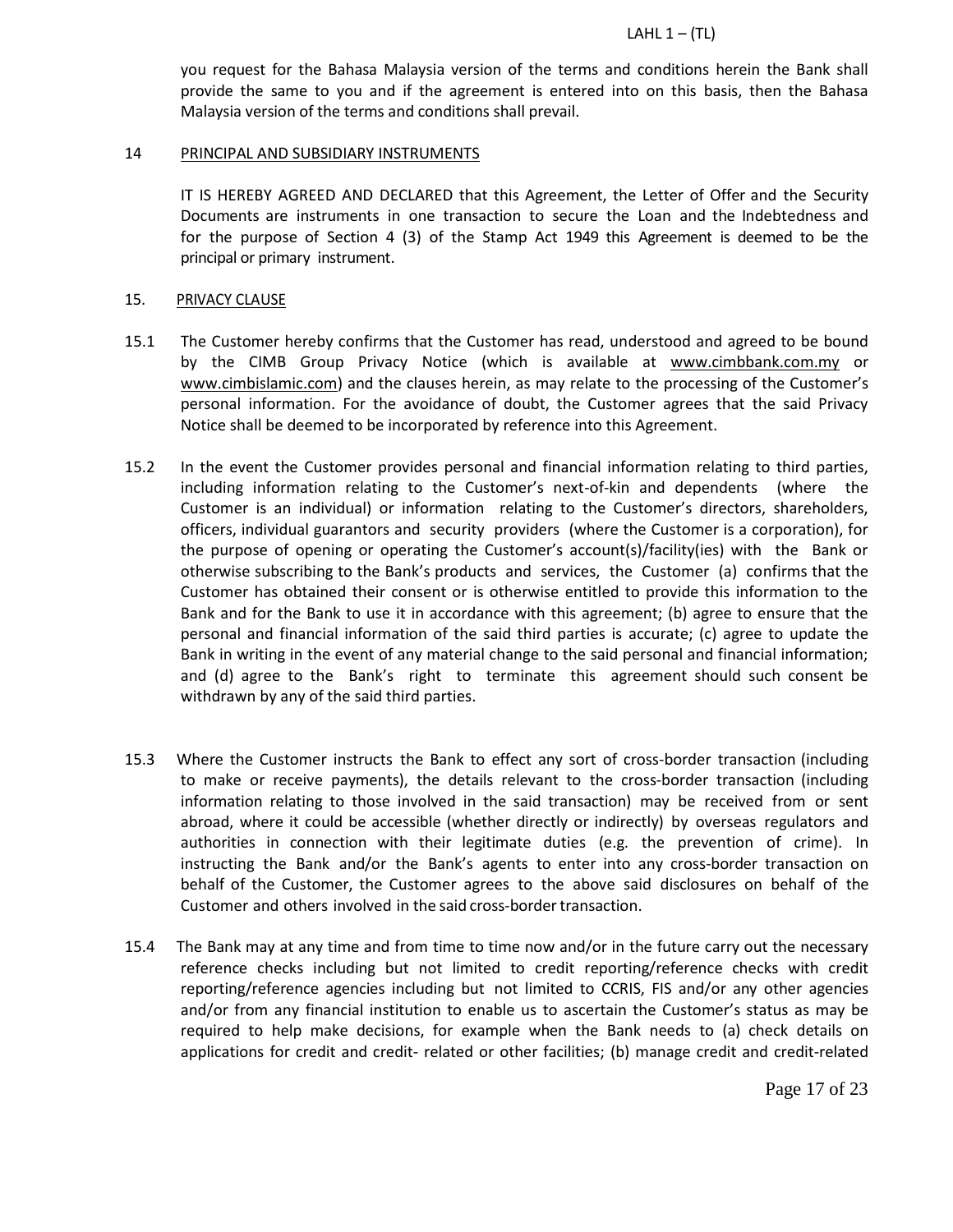you request for the Bahasa Malaysia version of the terms and conditions herein the Bank shall provide the same to you and if the agreement is entered into on this basis, then the Bahasa Malaysia version of the terms and conditions shall prevail.

#### 14 PRINCIPAL AND SUBSIDIARY INSTRUMENTS

IT IS HEREBY AGREED AND DECLARED that this Agreement, the Letter of Offer and the Security Documents are instruments in one transaction to secure the Loan and the Indebtedness and for the purpose of Section 4 (3) of the Stamp Act 1949 this Agreement is deemed to be the principal or primary instrument.

#### 15. PRIVACY CLAUSE

- 15.1 The Customer hereby confirms that the Customer has read, understood and agreed to be bound by the CIMB Group Privacy Notice (which is available at www.cimbbank.com.my or www.cimbislamic.com) and the clauses herein, as may relate to the processing of the Customer's personal information. For the avoidance of doubt, the Customer agrees that the said Privacy Notice shall be deemed to be incorporated by reference into this Agreement.
- 15.2 In the event the Customer provides personal and financial information relating to third parties, including information relating to the Customer's next-of-kin and dependents (where the Customer is an individual) or information relating to the Customer's directors, shareholders, officers, individual guarantors and security providers (where the Customer is a corporation), for the purpose of opening or operating the Customer's account(s)/facility(ies) with the Bank or otherwise subscribing to the Bank's products and services, the Customer (a) confirms that the Customer has obtained their consent or is otherwise entitled to provide this information to the Bank and for the Bank to use it in accordance with this agreement; (b) agree to ensure that the personal and financial information of the said third parties is accurate; (c) agree to update the Bank in writing in the event of any material change to the said personal and financial information; and (d) agree to the Bank's right to terminate this agreement should such consent be withdrawn by any of the said third parties.
- 15.3 Where the Customer instructs the Bank to effect any sort of cross-border transaction (including to make or receive payments), the details relevant to the cross-border transaction (including information relating to those involved in the said transaction) may be received from or sent abroad, where it could be accessible (whether directly or indirectly) by overseas regulators and authorities in connection with their legitimate duties (e.g. the prevention of crime). In instructing the Bank and/or the Bank's agents to enter into any cross-border transaction on behalf of the Customer, the Customer agrees to the above said disclosures on behalf of the Customer and others involved in the said cross-border transaction.
- 15.4 The Bank may at any time and from time to time now and/or in the future carry out the necessary reference checks including but not limited to credit reporting/reference checks with credit reporting/reference agencies including but not limited to CCRIS, FIS and/or any other agencies and/or from any financial institution to enable us to ascertain the Customer's status as may be required to help make decisions, for example when the Bank needs to (a) check details on applications for credit and credit- related or other facilities; (b) manage credit and credit-related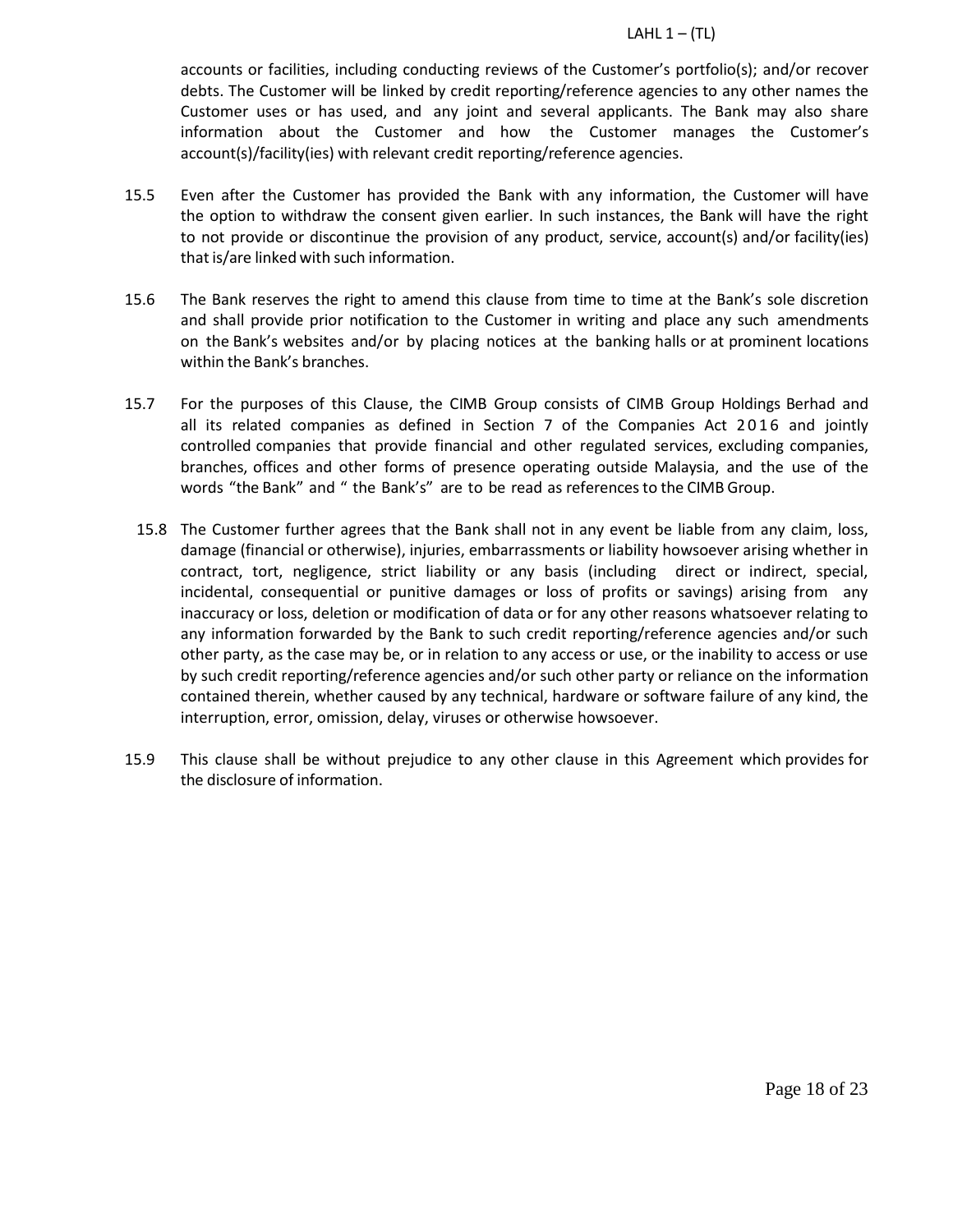accounts or facilities, including conducting reviews of the Customer's portfolio(s); and/or recover debts. The Customer will be linked by credit reporting/reference agencies to any other names the Customer uses or has used, and any joint and several applicants. The Bank may also share information about the Customer and how the Customer manages the Customer's account(s)/facility(ies) with relevant credit reporting/reference agencies.

- 15.5 Even after the Customer has provided the Bank with any information, the Customer will have the option to withdraw the consent given earlier. In such instances, the Bank will have the right to not provide or discontinue the provision of any product, service, account(s) and/or facility(ies) that is/are linked with such information.
- 15.6 The Bank reserves the right to amend this clause from time to time at the Bank's sole discretion and shall provide prior notification to the Customer in writing and place any such amendments on the Bank's websites and/or by placing notices at the banking halls or at prominent locations within the Bank's branches.
- 15.7 For the purposes of this Clause, the CIMB Group consists of CIMB Group Holdings Berhad and all its related companies as defined in Section 7 of the Companies Act 2016 and jointly controlled companies that provide financial and other regulated services, excluding companies, branches, offices and other forms of presence operating outside Malaysia, and the use of the words "the Bank" and " the Bank's" are to be read as referencesto the CIMB Group.
	- 15.8 The Customer further agrees that the Bank shall not in any event be liable from any claim, loss, damage (financial or otherwise), injuries, embarrassments or liability howsoever arising whether in contract, tort, negligence, strict liability or any basis (including direct or indirect, special, incidental, consequential or punitive damages or loss of profits or savings) arising from any inaccuracy or loss, deletion or modification of data or for any other reasons whatsoever relating to any information forwarded by the Bank to such credit reporting/reference agencies and/or such other party, as the case may be, or in relation to any access or use, or the inability to access or use by such credit reporting/reference agencies and/or such other party or reliance on the information contained therein, whether caused by any technical, hardware or software failure of any kind, the interruption, error, omission, delay, viruses or otherwise howsoever.
- 15.9 This clause shall be without prejudice to any other clause in this Agreement which provides for the disclosure of information.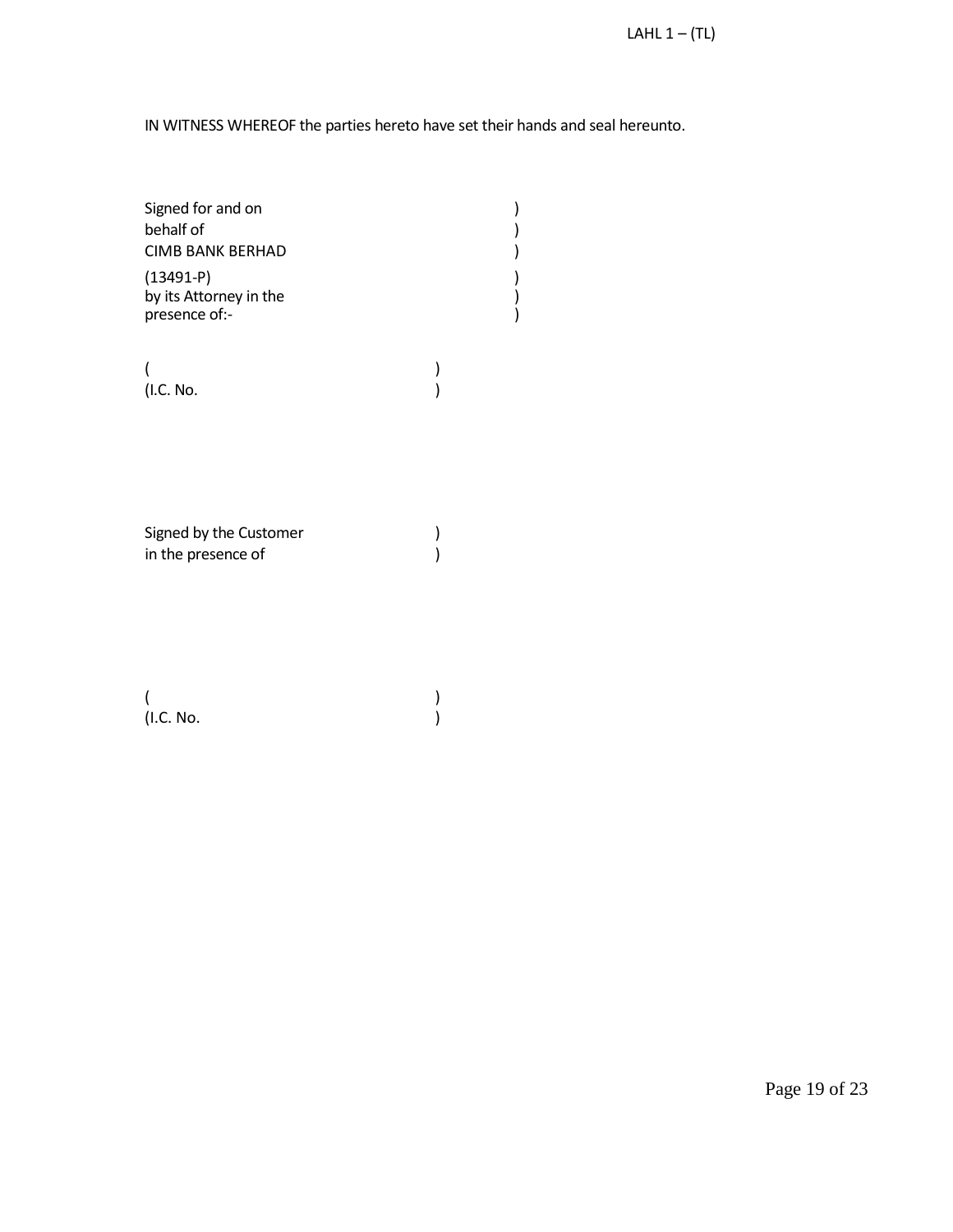IN WITNESS WHEREOF the parties hereto have set their hands and seal hereunto.

| Signed for and on<br>behalf of                         |  |
|--------------------------------------------------------|--|
| <b>CIMB BANK BERHAD</b>                                |  |
| $(13491-P)$<br>by its Attorney in the<br>presence of:- |  |

(and  $\overline{\phantom{a}}$ ) (I.C. No. )

Signed by the Customer )<br>in the presence of ) in the presence of

(and  $\overline{\phantom{a}}$ ) (I.C. No. )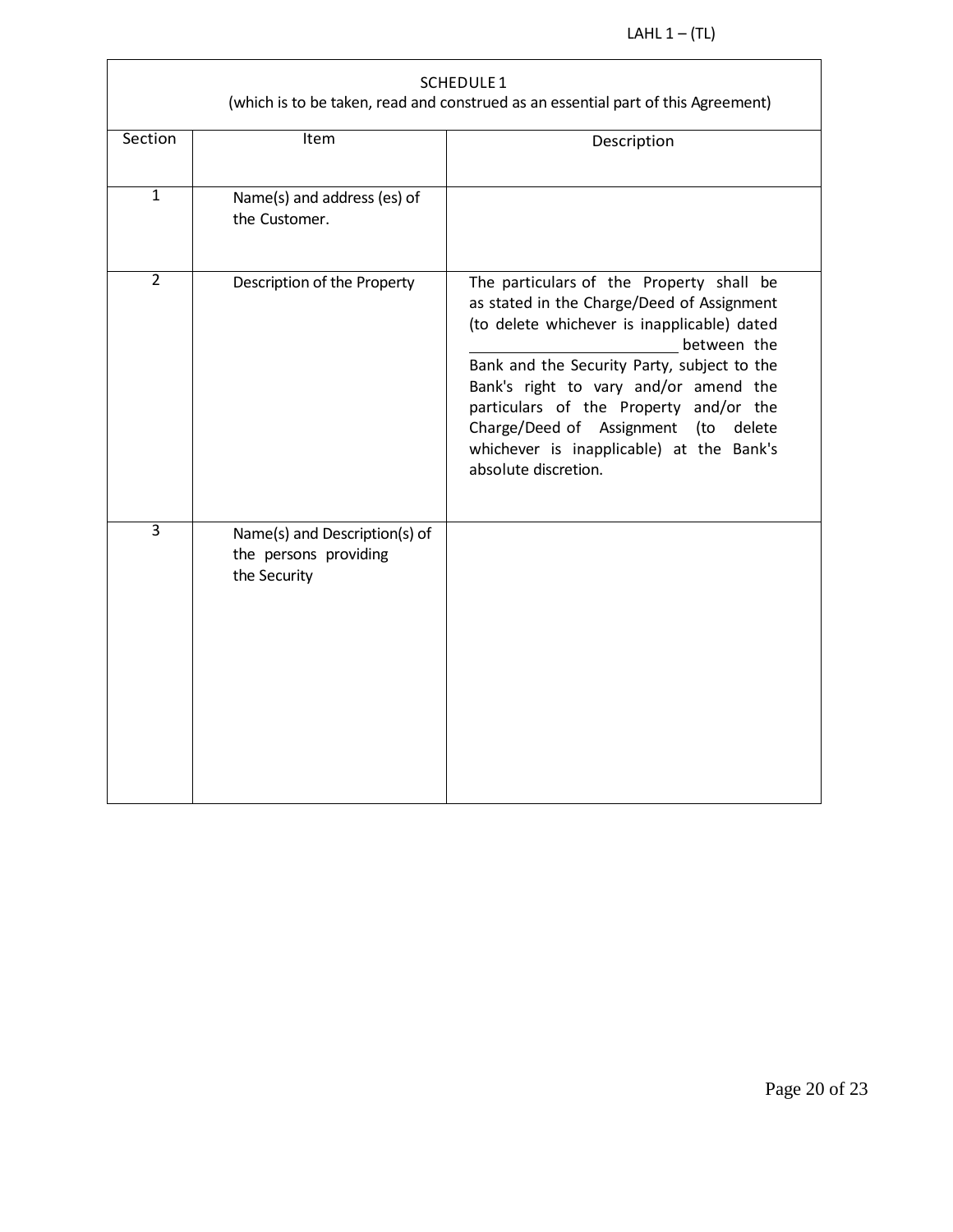|                | SCHEDULE 1<br>(which is to be taken, read and construed as an essential part of this Agreement) |                                                                                                                                                                                                                                                                                                                                                                                                    |  |  |  |  |  |  |  |
|----------------|-------------------------------------------------------------------------------------------------|----------------------------------------------------------------------------------------------------------------------------------------------------------------------------------------------------------------------------------------------------------------------------------------------------------------------------------------------------------------------------------------------------|--|--|--|--|--|--|--|
| Section        | Item                                                                                            | Description                                                                                                                                                                                                                                                                                                                                                                                        |  |  |  |  |  |  |  |
| $\overline{1}$ | Name(s) and address (es) of<br>the Customer.                                                    |                                                                                                                                                                                                                                                                                                                                                                                                    |  |  |  |  |  |  |  |
| $\overline{2}$ | Description of the Property                                                                     | The particulars of the Property shall be<br>as stated in the Charge/Deed of Assignment<br>(to delete whichever is inapplicable) dated<br>between the<br>Bank and the Security Party, subject to the<br>Bank's right to vary and/or amend the<br>particulars of the Property and/or the<br>Charge/Deed of Assignment (to delete<br>whichever is inapplicable) at the Bank's<br>absolute discretion. |  |  |  |  |  |  |  |
| $\overline{3}$ | Name(s) and Description(s) of<br>the persons providing<br>the Security                          |                                                                                                                                                                                                                                                                                                                                                                                                    |  |  |  |  |  |  |  |

L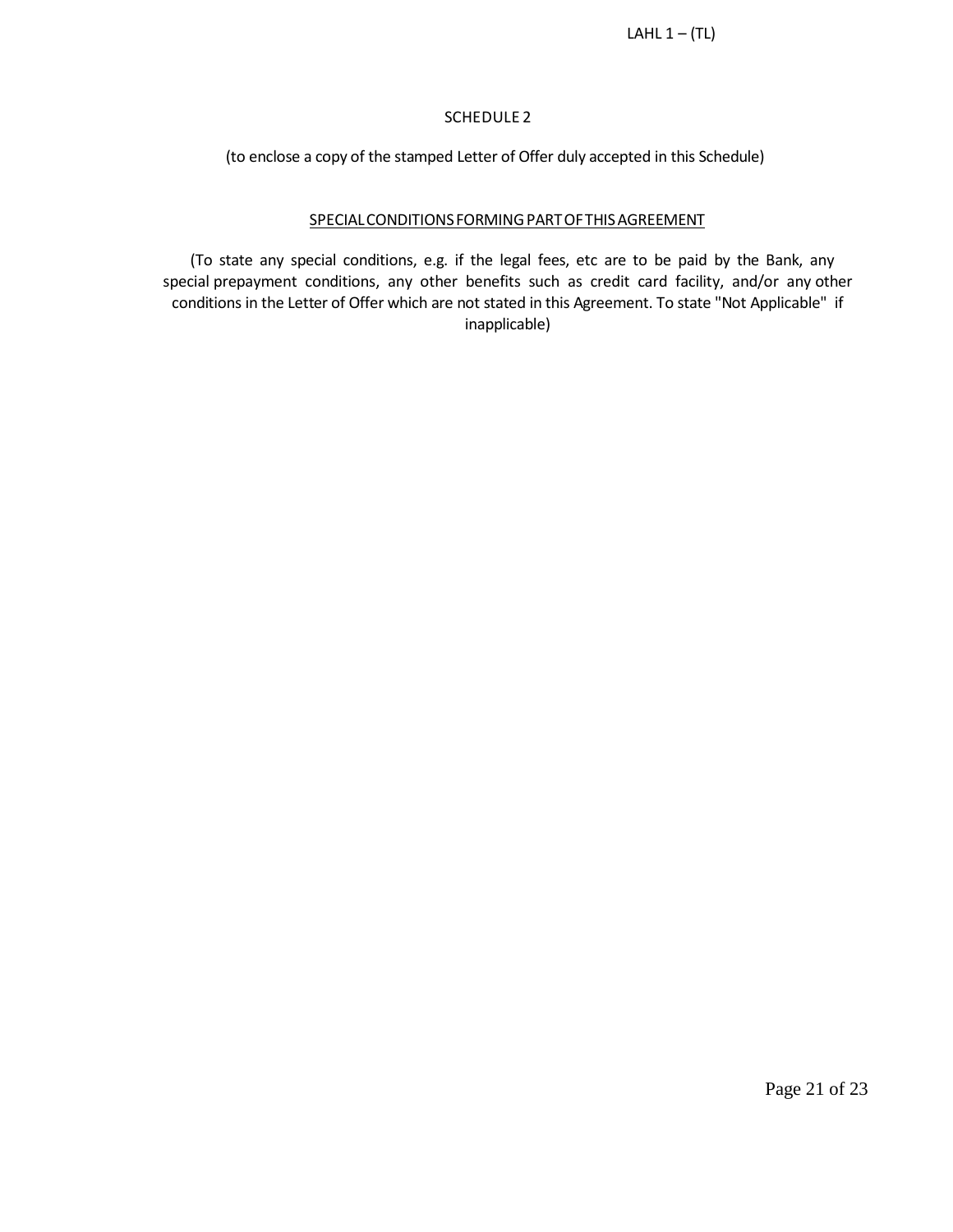## SCHEDULE 2

(to enclose a copy of the stamped Letter of Offer duly accepted in this Schedule)

## SPECIAL CONDITIONS FORMING PART OF THIS AGREEMENT

(To state any special conditions, e.g. if the legal fees, etc are to be paid by the Bank, any special prepayment conditions, any other benefits such as credit card facility, and/or any other conditions in the Letter of Offer which are not stated in this Agreement. To state "Not Applicable" if inapplicable)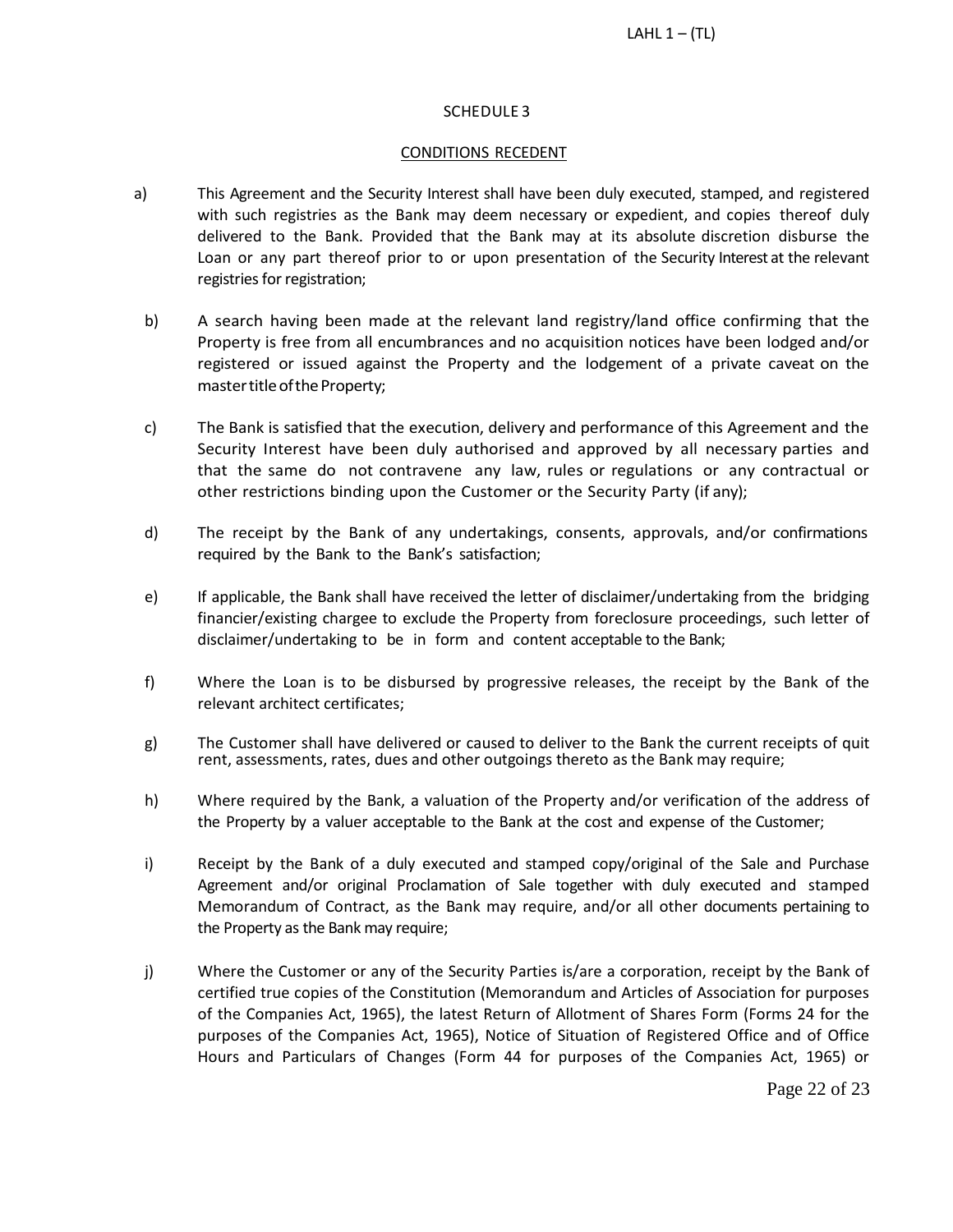### SCHEDULE 3

#### CONDITIONS RECEDENT

- a) This Agreement and the Security Interest shall have been duly executed, stamped, and registered with such registries as the Bank may deem necessary or expedient, and copies thereof duly delivered to the Bank. Provided that the Bank may at its absolute discretion disburse the Loan or any part thereof prior to or upon presentation of the Security Interest at the relevant registries for registration;
- b) A search having been made at the relevant land registry/land office confirming that the Property is free from all encumbrances and no acquisition notices have been lodged and/or registered or issued against the Property and the lodgement of a private caveat on the master title of the Property;
- c) The Bank is satisfied that the execution, delivery and performance of this Agreement and the Security Interest have been duly authorised and approved by all necessary parties and that the same do not contravene any law, rules or regulations or any contractual or other restrictions binding upon the Customer or the Security Party (if any);
- d) The receipt by the Bank of any undertakings, consents, approvals, and/or confirmations required by the Bank to the Bank's satisfaction;
- e) If applicable, the Bank shall have received the letter of disclaimer/undertaking from the bridging financier/existing chargee to exclude the Property from foreclosure proceedings, such letter of disclaimer/undertaking to be in form and content acceptable to the Bank;
- f) Where the Loan is to be disbursed by progressive releases, the receipt by the Bank of the relevant architect certificates;
- g) The Customer shall have delivered or caused to deliver to the Bank the current receipts of quit rent, assessments, rates, dues and other outgoings thereto as the Bank may require;
- h) Where required by the Bank, a valuation of the Property and/or verification of the address of the Property by a valuer acceptable to the Bank at the cost and expense of the Customer;
- i) Receipt by the Bank of a duly executed and stamped copy/original of the Sale and Purchase Agreement and/or original Proclamation of Sale together with duly executed and stamped Memorandum of Contract, as the Bank may require, and/or all other documents pertaining to the Property as the Bank may require;
- j) Where the Customer or any of the Security Parties is/are a corporation, receipt by the Bank of certified true copies of the Constitution (Memorandum and Articles of Association for purposes of the Companies Act, 1965), the latest Return of Allotment of Shares Form (Forms 24 for the purposes of the Companies Act, 1965), Notice of Situation of Registered Office and of Office Hours and Particulars of Changes (Form 44 for purposes of the Companies Act, 1965) or